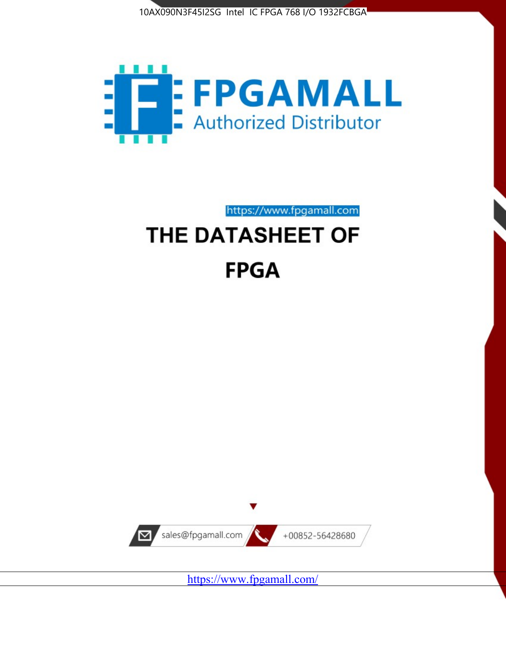



https://www.fpgamall.com

# THE DATASHEET OF **FPGA**



<https://www.fpgamall.com/>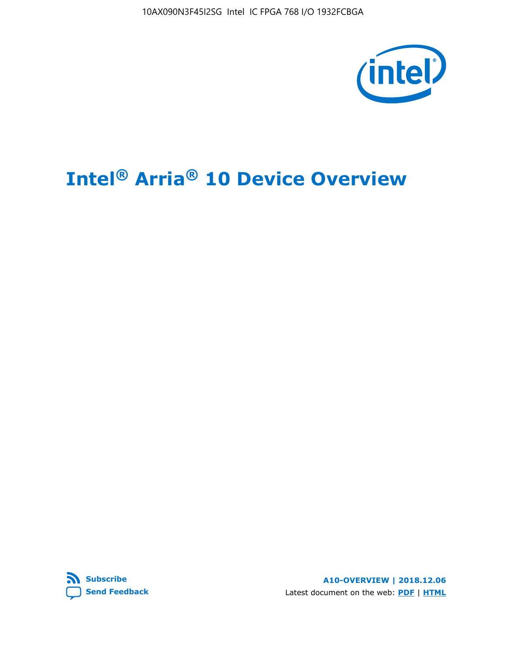10AX090N3F45I2SG Intel IC FPGA 768 I/O 1932FCBGA



# **Intel® Arria® 10 Device Overview**



**A10-OVERVIEW | 2018.12.06** Latest document on the web: **[PDF](https://www.intel.com/content/dam/www/programmable/us/en/pdfs/literature/hb/arria-10/a10_overview.pdf)** | **[HTML](https://www.intel.com/content/www/us/en/programmable/documentation/sam1403480274650.html)**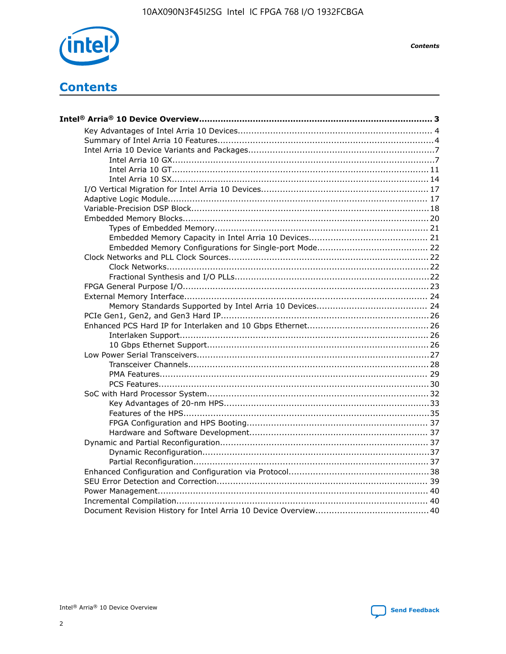

**Contents** 

# **Contents**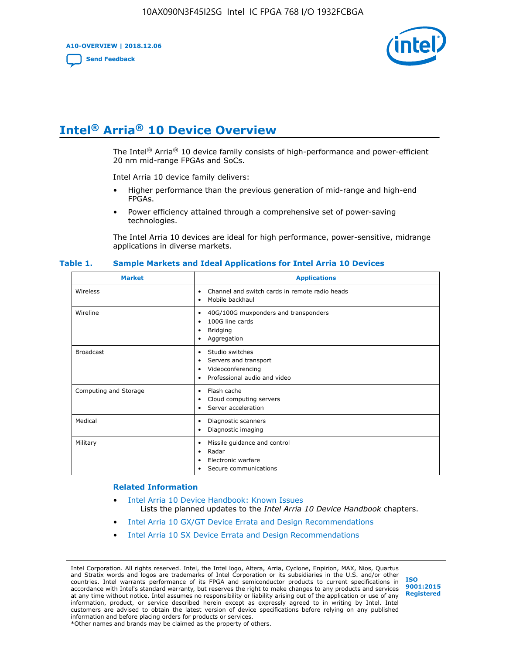**A10-OVERVIEW | 2018.12.06**

**[Send Feedback](mailto:FPGAtechdocfeedback@intel.com?subject=Feedback%20on%20Intel%20Arria%2010%20Device%20Overview%20(A10-OVERVIEW%202018.12.06)&body=We%20appreciate%20your%20feedback.%20In%20your%20comments,%20also%20specify%20the%20page%20number%20or%20paragraph.%20Thank%20you.)**



# **Intel® Arria® 10 Device Overview**

The Intel<sup>®</sup> Arria<sup>®</sup> 10 device family consists of high-performance and power-efficient 20 nm mid-range FPGAs and SoCs.

Intel Arria 10 device family delivers:

- Higher performance than the previous generation of mid-range and high-end FPGAs.
- Power efficiency attained through a comprehensive set of power-saving technologies.

The Intel Arria 10 devices are ideal for high performance, power-sensitive, midrange applications in diverse markets.

| <b>Market</b>         | <b>Applications</b>                                                                                               |
|-----------------------|-------------------------------------------------------------------------------------------------------------------|
| Wireless              | Channel and switch cards in remote radio heads<br>٠<br>Mobile backhaul<br>٠                                       |
| Wireline              | 40G/100G muxponders and transponders<br>٠<br>100G line cards<br>٠<br><b>Bridging</b><br>٠<br>Aggregation<br>٠     |
| <b>Broadcast</b>      | Studio switches<br>٠<br>Servers and transport<br>٠<br>Videoconferencing<br>٠<br>Professional audio and video<br>٠ |
| Computing and Storage | Flash cache<br>٠<br>Cloud computing servers<br>٠<br>Server acceleration<br>٠                                      |
| Medical               | Diagnostic scanners<br>٠<br>Diagnostic imaging<br>٠                                                               |
| Military              | Missile guidance and control<br>٠<br>Radar<br>٠<br>Electronic warfare<br>٠<br>Secure communications<br>٠          |

#### **Table 1. Sample Markets and Ideal Applications for Intel Arria 10 Devices**

#### **Related Information**

- [Intel Arria 10 Device Handbook: Known Issues](http://www.altera.com/support/kdb/solutions/rd07302013_646.html) Lists the planned updates to the *Intel Arria 10 Device Handbook* chapters.
- [Intel Arria 10 GX/GT Device Errata and Design Recommendations](https://www.intel.com/content/www/us/en/programmable/documentation/agz1493851706374.html#yqz1494433888646)
- [Intel Arria 10 SX Device Errata and Design Recommendations](https://www.intel.com/content/www/us/en/programmable/documentation/cru1462832385668.html#cru1462832558642)

Intel Corporation. All rights reserved. Intel, the Intel logo, Altera, Arria, Cyclone, Enpirion, MAX, Nios, Quartus and Stratix words and logos are trademarks of Intel Corporation or its subsidiaries in the U.S. and/or other countries. Intel warrants performance of its FPGA and semiconductor products to current specifications in accordance with Intel's standard warranty, but reserves the right to make changes to any products and services at any time without notice. Intel assumes no responsibility or liability arising out of the application or use of any information, product, or service described herein except as expressly agreed to in writing by Intel. Intel customers are advised to obtain the latest version of device specifications before relying on any published information and before placing orders for products or services. \*Other names and brands may be claimed as the property of others.

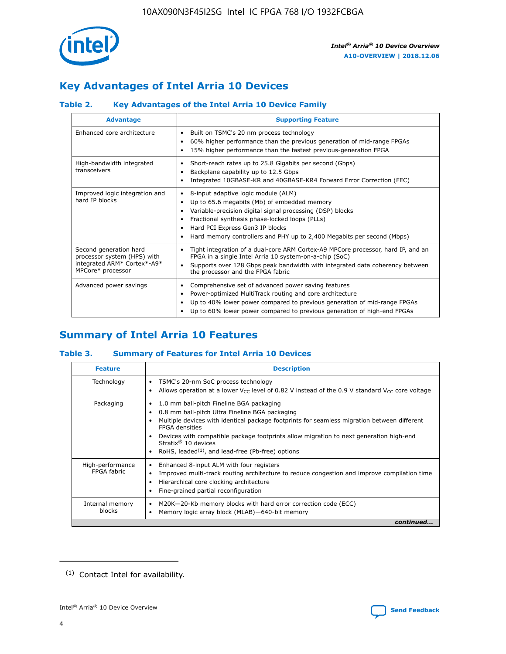

# **Key Advantages of Intel Arria 10 Devices**

# **Table 2. Key Advantages of the Intel Arria 10 Device Family**

| <b>Advantage</b>                                                                                          | <b>Supporting Feature</b>                                                                                                                                                                                                                                                                                                |  |  |  |  |  |
|-----------------------------------------------------------------------------------------------------------|--------------------------------------------------------------------------------------------------------------------------------------------------------------------------------------------------------------------------------------------------------------------------------------------------------------------------|--|--|--|--|--|
| Enhanced core architecture                                                                                | Built on TSMC's 20 nm process technology<br>٠<br>60% higher performance than the previous generation of mid-range FPGAs<br>٠<br>15% higher performance than the fastest previous-generation FPGA<br>٠                                                                                                                    |  |  |  |  |  |
| High-bandwidth integrated<br>transceivers                                                                 | Short-reach rates up to 25.8 Gigabits per second (Gbps)<br>٠<br>Backplane capability up to 12.5 Gbps<br>٠<br>Integrated 10GBASE-KR and 40GBASE-KR4 Forward Error Correction (FEC)<br>٠                                                                                                                                   |  |  |  |  |  |
| Improved logic integration and<br>hard IP blocks                                                          | 8-input adaptive logic module (ALM)<br>٠<br>Up to 65.6 megabits (Mb) of embedded memory<br>٠<br>Variable-precision digital signal processing (DSP) blocks<br>Fractional synthesis phase-locked loops (PLLs)<br>Hard PCI Express Gen3 IP blocks<br>Hard memory controllers and PHY up to 2,400 Megabits per second (Mbps) |  |  |  |  |  |
| Second generation hard<br>processor system (HPS) with<br>integrated ARM* Cortex*-A9*<br>MPCore* processor | Tight integration of a dual-core ARM Cortex-A9 MPCore processor, hard IP, and an<br>٠<br>FPGA in a single Intel Arria 10 system-on-a-chip (SoC)<br>Supports over 128 Gbps peak bandwidth with integrated data coherency between<br>$\bullet$<br>the processor and the FPGA fabric                                        |  |  |  |  |  |
| Advanced power savings                                                                                    | Comprehensive set of advanced power saving features<br>٠<br>Power-optimized MultiTrack routing and core architecture<br>٠<br>Up to 40% lower power compared to previous generation of mid-range FPGAs<br>Up to 60% lower power compared to previous generation of high-end FPGAs                                         |  |  |  |  |  |

# **Summary of Intel Arria 10 Features**

## **Table 3. Summary of Features for Intel Arria 10 Devices**

| <b>Feature</b>                  | <b>Description</b>                                                                                                                                                                                                                                                                                                                                                                                       |
|---------------------------------|----------------------------------------------------------------------------------------------------------------------------------------------------------------------------------------------------------------------------------------------------------------------------------------------------------------------------------------------------------------------------------------------------------|
| Technology                      | TSMC's 20-nm SoC process technology<br>٠<br>Allows operation at a lower $V_{\text{CC}}$ level of 0.82 V instead of the 0.9 V standard $V_{\text{CC}}$ core voltage                                                                                                                                                                                                                                       |
| Packaging                       | 1.0 mm ball-pitch Fineline BGA packaging<br>0.8 mm ball-pitch Ultra Fineline BGA packaging<br>Multiple devices with identical package footprints for seamless migration between different<br><b>FPGA</b> densities<br>Devices with compatible package footprints allow migration to next generation high-end<br>Stratix $\mathcal{R}$ 10 devices<br>RoHS, leaded $(1)$ , and lead-free (Pb-free) options |
| High-performance<br>FPGA fabric | Enhanced 8-input ALM with four registers<br>٠<br>Improved multi-track routing architecture to reduce congestion and improve compilation time<br>Hierarchical core clocking architecture<br>Fine-grained partial reconfiguration                                                                                                                                                                          |
| Internal memory<br>blocks       | M20K-20-Kb memory blocks with hard error correction code (ECC)<br>Memory logic array block (MLAB)-640-bit memory                                                                                                                                                                                                                                                                                         |
|                                 | continued                                                                                                                                                                                                                                                                                                                                                                                                |



<sup>(1)</sup> Contact Intel for availability.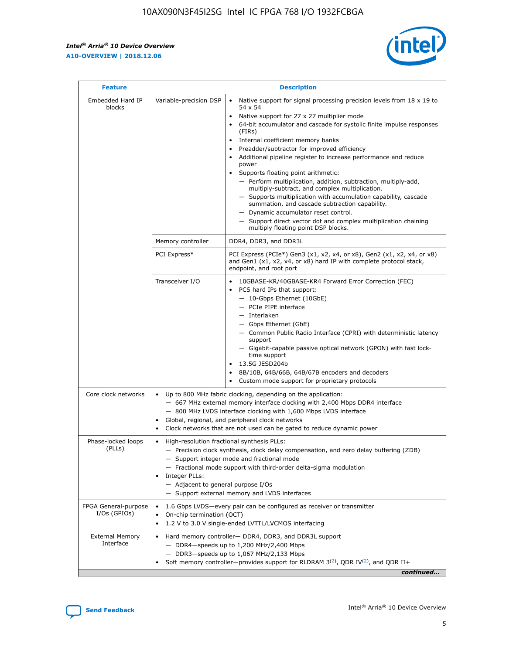r



| <b>Feature</b>                         |                                                                                                                | <b>Description</b>                                                                                                                                                                                                                                                                                                                                                                                                                                                                                                                                                                                                                                                                                                                                                                                                                                               |  |  |  |  |  |  |
|----------------------------------------|----------------------------------------------------------------------------------------------------------------|------------------------------------------------------------------------------------------------------------------------------------------------------------------------------------------------------------------------------------------------------------------------------------------------------------------------------------------------------------------------------------------------------------------------------------------------------------------------------------------------------------------------------------------------------------------------------------------------------------------------------------------------------------------------------------------------------------------------------------------------------------------------------------------------------------------------------------------------------------------|--|--|--|--|--|--|
| Embedded Hard IP<br>blocks             | Variable-precision DSP                                                                                         | Native support for signal processing precision levels from $18 \times 19$ to<br>$\bullet$<br>54 x 54<br>Native support for 27 x 27 multiplier mode<br>$\bullet$<br>64-bit accumulator and cascade for systolic finite impulse responses<br>(FIRs)<br>Internal coefficient memory banks<br>$\bullet$<br>Preadder/subtractor for improved efficiency<br>Additional pipeline register to increase performance and reduce<br>power<br>Supports floating point arithmetic:<br>- Perform multiplication, addition, subtraction, multiply-add,<br>multiply-subtract, and complex multiplication.<br>- Supports multiplication with accumulation capability, cascade<br>summation, and cascade subtraction capability.<br>- Dynamic accumulator reset control.<br>- Support direct vector dot and complex multiplication chaining<br>multiply floating point DSP blocks. |  |  |  |  |  |  |
|                                        | Memory controller                                                                                              | DDR4, DDR3, and DDR3L                                                                                                                                                                                                                                                                                                                                                                                                                                                                                                                                                                                                                                                                                                                                                                                                                                            |  |  |  |  |  |  |
|                                        | PCI Express*                                                                                                   | PCI Express (PCIe*) Gen3 (x1, x2, x4, or x8), Gen2 (x1, x2, x4, or x8)<br>and Gen1 (x1, x2, x4, or x8) hard IP with complete protocol stack,<br>endpoint, and root port                                                                                                                                                                                                                                                                                                                                                                                                                                                                                                                                                                                                                                                                                          |  |  |  |  |  |  |
|                                        | Transceiver I/O                                                                                                | 10GBASE-KR/40GBASE-KR4 Forward Error Correction (FEC)<br>PCS hard IPs that support:<br>- 10-Gbps Ethernet (10GbE)<br>- PCIe PIPE interface<br>- Interlaken<br>- Gbps Ethernet (GbE)<br>- Common Public Radio Interface (CPRI) with deterministic latency<br>support<br>- Gigabit-capable passive optical network (GPON) with fast lock-<br>time support<br>13.5G JESD204b<br>$\bullet$<br>8B/10B, 64B/66B, 64B/67B encoders and decoders<br>Custom mode support for proprietary protocols                                                                                                                                                                                                                                                                                                                                                                        |  |  |  |  |  |  |
| Core clock networks                    | $\bullet$                                                                                                      | Up to 800 MHz fabric clocking, depending on the application:<br>- 667 MHz external memory interface clocking with 2,400 Mbps DDR4 interface<br>- 800 MHz LVDS interface clocking with 1,600 Mbps LVDS interface<br>Global, regional, and peripheral clock networks<br>Clock networks that are not used can be gated to reduce dynamic power                                                                                                                                                                                                                                                                                                                                                                                                                                                                                                                      |  |  |  |  |  |  |
| Phase-locked loops<br>(PLLs)           | High-resolution fractional synthesis PLLs:<br>$\bullet$<br>Integer PLLs:<br>- Adjacent to general purpose I/Os | - Precision clock synthesis, clock delay compensation, and zero delay buffering (ZDB)<br>- Support integer mode and fractional mode<br>- Fractional mode support with third-order delta-sigma modulation<br>- Support external memory and LVDS interfaces                                                                                                                                                                                                                                                                                                                                                                                                                                                                                                                                                                                                        |  |  |  |  |  |  |
| FPGA General-purpose<br>$I/Os$ (GPIOs) | On-chip termination (OCT)<br>٠<br>$\bullet$                                                                    | 1.6 Gbps LVDS-every pair can be configured as receiver or transmitter                                                                                                                                                                                                                                                                                                                                                                                                                                                                                                                                                                                                                                                                                                                                                                                            |  |  |  |  |  |  |
| <b>External Memory</b><br>Interface    | $\bullet$                                                                                                      | 1.2 V to 3.0 V single-ended LVTTL/LVCMOS interfacing<br>Hard memory controller- DDR4, DDR3, and DDR3L support<br>$-$ DDR4-speeds up to 1,200 MHz/2,400 Mbps<br>- DDR3-speeds up to 1,067 MHz/2,133 Mbps<br>Soft memory controller—provides support for RLDRAM $3^{(2)}$ , QDR IV $^{(2)}$ , and QDR II+<br>continued                                                                                                                                                                                                                                                                                                                                                                                                                                                                                                                                             |  |  |  |  |  |  |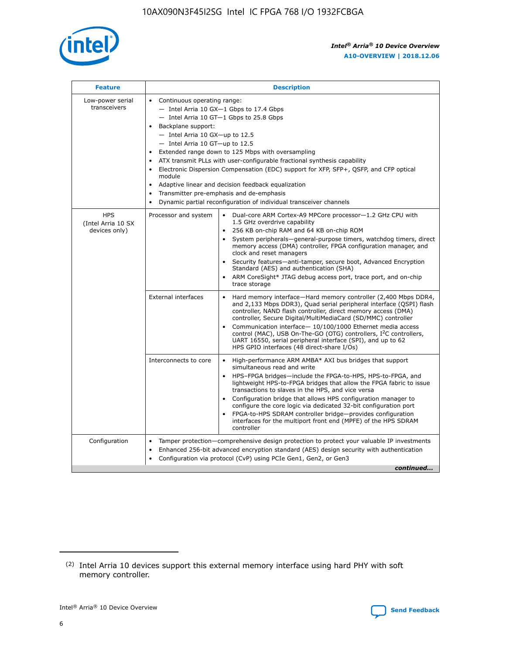

| <b>Feature</b>                                    | <b>Description</b>                                                                                                                                                                                                                                                                                                                                                                                                                                                                                                                                                                                                                             |  |  |  |  |  |  |  |
|---------------------------------------------------|------------------------------------------------------------------------------------------------------------------------------------------------------------------------------------------------------------------------------------------------------------------------------------------------------------------------------------------------------------------------------------------------------------------------------------------------------------------------------------------------------------------------------------------------------------------------------------------------------------------------------------------------|--|--|--|--|--|--|--|
| Low-power serial<br>transceivers                  | • Continuous operating range:<br>- Intel Arria 10 GX-1 Gbps to 17.4 Gbps<br>- Intel Arria 10 GT-1 Gbps to 25.8 Gbps<br>Backplane support:<br>$-$ Intel Arria 10 GX-up to 12.5<br>$-$ Intel Arria 10 GT-up to 12.5<br>Extended range down to 125 Mbps with oversampling<br>ATX transmit PLLs with user-configurable fractional synthesis capability<br>• Electronic Dispersion Compensation (EDC) support for XFP, SFP+, QSFP, and CFP optical<br>module<br>• Adaptive linear and decision feedback equalization<br>Transmitter pre-emphasis and de-emphasis<br>$\bullet$<br>Dynamic partial reconfiguration of individual transceiver channels |  |  |  |  |  |  |  |
| <b>HPS</b><br>(Intel Arria 10 SX<br>devices only) | Processor and system<br>Dual-core ARM Cortex-A9 MPCore processor-1.2 GHz CPU with<br>$\bullet$<br>1.5 GHz overdrive capability<br>256 KB on-chip RAM and 64 KB on-chip ROM<br>$\bullet$<br>System peripherals-general-purpose timers, watchdog timers, direct<br>memory access (DMA) controller, FPGA configuration manager, and<br>clock and reset managers<br>• Security features—anti-tamper, secure boot, Advanced Encryption<br>Standard (AES) and authentication (SHA)<br>ARM CoreSight* JTAG debug access port, trace port, and on-chip<br>trace storage                                                                                |  |  |  |  |  |  |  |
|                                                   | <b>External interfaces</b><br>Hard memory interface—Hard memory controller (2,400 Mbps DDR4,<br>$\bullet$<br>and 2,133 Mbps DDR3), Quad serial peripheral interface (QSPI) flash<br>controller, NAND flash controller, direct memory access (DMA)<br>controller, Secure Digital/MultiMediaCard (SD/MMC) controller<br>Communication interface-10/100/1000 Ethernet media access<br>control (MAC), USB On-The-GO (OTG) controllers, I <sup>2</sup> C controllers,<br>UART 16550, serial peripheral interface (SPI), and up to 62<br>HPS GPIO interfaces (48 direct-share I/Os)                                                                  |  |  |  |  |  |  |  |
|                                                   | High-performance ARM AMBA* AXI bus bridges that support<br>Interconnects to core<br>$\bullet$<br>simultaneous read and write<br>HPS-FPGA bridges—include the FPGA-to-HPS, HPS-to-FPGA, and<br>$\bullet$<br>lightweight HPS-to-FPGA bridges that allow the FPGA fabric to issue<br>transactions to slaves in the HPS, and vice versa<br>Configuration bridge that allows HPS configuration manager to<br>configure the core logic via dedicated 32-bit configuration port<br>FPGA-to-HPS SDRAM controller bridge-provides configuration<br>interfaces for the multiport front end (MPFE) of the HPS SDRAM<br>controller                         |  |  |  |  |  |  |  |
| Configuration                                     | Tamper protection—comprehensive design protection to protect your valuable IP investments<br>Enhanced 256-bit advanced encryption standard (AES) design security with authentication<br>$\bullet$<br>Configuration via protocol (CvP) using PCIe Gen1, Gen2, or Gen3<br>continued                                                                                                                                                                                                                                                                                                                                                              |  |  |  |  |  |  |  |

<sup>(2)</sup> Intel Arria 10 devices support this external memory interface using hard PHY with soft memory controller.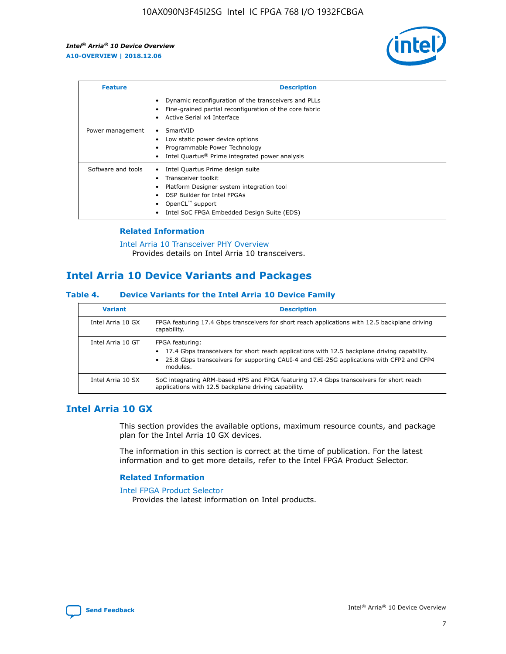

| <b>Feature</b>     | <b>Description</b>                                                                                                                                                                                               |
|--------------------|------------------------------------------------------------------------------------------------------------------------------------------------------------------------------------------------------------------|
|                    | Dynamic reconfiguration of the transceivers and PLLs<br>Fine-grained partial reconfiguration of the core fabric<br>Active Serial x4 Interface<br>$\bullet$                                                       |
| Power management   | SmartVID<br>Low static power device options<br>Programmable Power Technology<br>Intel Quartus <sup>®</sup> Prime integrated power analysis                                                                       |
| Software and tools | Intel Quartus Prime design suite<br>Transceiver toolkit<br>Platform Designer system integration tool<br>DSP Builder for Intel FPGAs<br>OpenCL <sup>™</sup> support<br>Intel SoC FPGA Embedded Design Suite (EDS) |

## **Related Information**

[Intel Arria 10 Transceiver PHY Overview](https://www.intel.com/content/www/us/en/programmable/documentation/nik1398707230472.html#nik1398706768037) Provides details on Intel Arria 10 transceivers.

# **Intel Arria 10 Device Variants and Packages**

#### **Table 4. Device Variants for the Intel Arria 10 Device Family**

| <b>Variant</b>    | <b>Description</b>                                                                                                                                                                                                     |
|-------------------|------------------------------------------------------------------------------------------------------------------------------------------------------------------------------------------------------------------------|
| Intel Arria 10 GX | FPGA featuring 17.4 Gbps transceivers for short reach applications with 12.5 backplane driving<br>capability.                                                                                                          |
| Intel Arria 10 GT | FPGA featuring:<br>17.4 Gbps transceivers for short reach applications with 12.5 backplane driving capability.<br>25.8 Gbps transceivers for supporting CAUI-4 and CEI-25G applications with CFP2 and CFP4<br>modules. |
| Intel Arria 10 SX | SoC integrating ARM-based HPS and FPGA featuring 17.4 Gbps transceivers for short reach<br>applications with 12.5 backplane driving capability.                                                                        |

# **Intel Arria 10 GX**

This section provides the available options, maximum resource counts, and package plan for the Intel Arria 10 GX devices.

The information in this section is correct at the time of publication. For the latest information and to get more details, refer to the Intel FPGA Product Selector.

#### **Related Information**

#### [Intel FPGA Product Selector](http://www.altera.com/products/selector/psg-selector.html) Provides the latest information on Intel products.

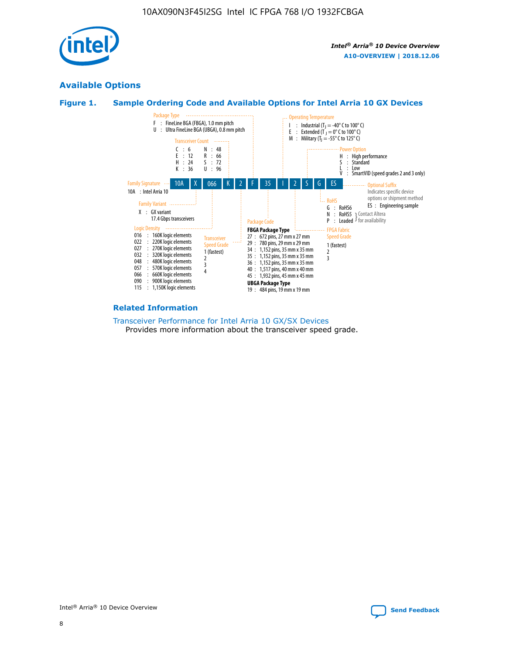

# **Available Options**





#### **Related Information**

[Transceiver Performance for Intel Arria 10 GX/SX Devices](https://www.intel.com/content/www/us/en/programmable/documentation/mcn1413182292568.html#mcn1413213965502) Provides more information about the transceiver speed grade.

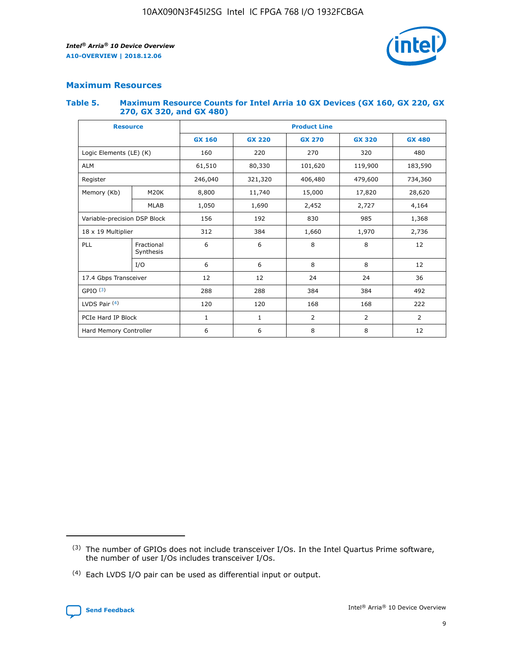

# **Maximum Resources**

#### **Table 5. Maximum Resource Counts for Intel Arria 10 GX Devices (GX 160, GX 220, GX 270, GX 320, and GX 480)**

| <b>Resource</b>         |                              | <b>Product Line</b> |                                                 |                |                |                |  |  |  |
|-------------------------|------------------------------|---------------------|-------------------------------------------------|----------------|----------------|----------------|--|--|--|
|                         |                              | <b>GX 160</b>       | <b>GX 220</b><br><b>GX 270</b><br><b>GX 320</b> |                |                | <b>GX 480</b>  |  |  |  |
| Logic Elements (LE) (K) |                              | 160                 | 220                                             | 270            | 320            | 480            |  |  |  |
| <b>ALM</b>              |                              | 61,510              | 80,330                                          | 101,620        | 119,900        | 183,590        |  |  |  |
| Register                |                              | 246,040             | 321,320                                         | 406,480        | 479,600        | 734,360        |  |  |  |
| Memory (Kb)             | M <sub>20</sub> K            | 8,800               | 11,740                                          | 15,000         | 17,820         | 28,620         |  |  |  |
|                         | <b>MLAB</b>                  | 1,050               | 1,690                                           | 2,452          | 2,727          | 4,164          |  |  |  |
|                         | Variable-precision DSP Block |                     | 192<br>830<br>985                               |                |                | 1,368          |  |  |  |
| 18 x 19 Multiplier      |                              | 312                 | 384                                             | 1,970<br>1,660 |                | 2,736          |  |  |  |
| PLL                     | Fractional<br>Synthesis      | 6                   | 6                                               | 8              | 8              | 12             |  |  |  |
|                         | I/O                          | 6                   | 6                                               | 8              | 8              | 12             |  |  |  |
| 17.4 Gbps Transceiver   |                              | 12                  | 12                                              | 24             | 24             | 36             |  |  |  |
| GPIO <sup>(3)</sup>     |                              | 288                 | 288                                             | 384<br>384     |                | 492            |  |  |  |
| LVDS Pair $(4)$         |                              | 120                 | 120                                             | 168            | 168            | 222            |  |  |  |
| PCIe Hard IP Block      |                              | 1                   | 1                                               | 2              | $\overline{2}$ | $\overline{2}$ |  |  |  |
| Hard Memory Controller  |                              | 6                   | 6                                               | 8              | 8              | 12             |  |  |  |

<sup>(4)</sup> Each LVDS I/O pair can be used as differential input or output.



<sup>(3)</sup> The number of GPIOs does not include transceiver I/Os. In the Intel Quartus Prime software, the number of user I/Os includes transceiver I/Os.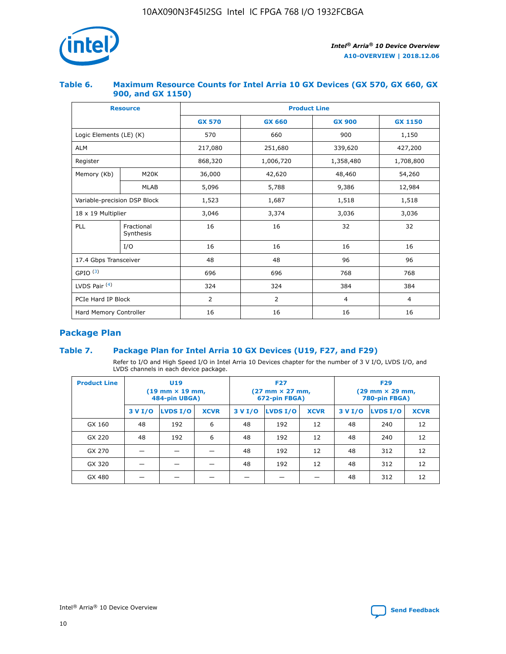

## **Table 6. Maximum Resource Counts for Intel Arria 10 GX Devices (GX 570, GX 660, GX 900, and GX 1150)**

|                              | <b>Resource</b>         | <b>Product Line</b> |                |                |                |  |  |  |
|------------------------------|-------------------------|---------------------|----------------|----------------|----------------|--|--|--|
|                              |                         | <b>GX 570</b>       | <b>GX 660</b>  | <b>GX 900</b>  | <b>GX 1150</b> |  |  |  |
| Logic Elements (LE) (K)      |                         | 570                 | 660            | 900            | 1,150          |  |  |  |
| <b>ALM</b>                   |                         | 217,080             | 251,680        | 339,620        | 427,200        |  |  |  |
| Register                     |                         | 868,320             | 1,006,720      | 1,358,480      | 1,708,800      |  |  |  |
| Memory (Kb)                  | <b>M20K</b>             | 36,000              | 42,620         | 48,460         | 54,260         |  |  |  |
|                              | <b>MLAB</b>             | 5,096               | 5,788          | 9,386          | 12,984         |  |  |  |
| Variable-precision DSP Block |                         | 1,523               | 1,687          | 1,518          | 1,518          |  |  |  |
| $18 \times 19$ Multiplier    |                         | 3,046               | 3,374          | 3,036          | 3,036          |  |  |  |
| PLL                          | Fractional<br>Synthesis | 16                  | 16             | 32             | 32             |  |  |  |
|                              | I/O                     | 16                  | 16             | 16             | 16             |  |  |  |
| 17.4 Gbps Transceiver        |                         | 48                  | 48             | 96             | 96             |  |  |  |
| GPIO <sup>(3)</sup>          |                         | 696                 | 696            | 768            | 768            |  |  |  |
| LVDS Pair $(4)$              |                         | 324                 | 324<br>384     |                | 384            |  |  |  |
| PCIe Hard IP Block           |                         | 2                   | $\overline{2}$ | $\overline{4}$ | 4              |  |  |  |
| Hard Memory Controller       |                         | 16                  | 16             | 16             | 16             |  |  |  |

# **Package Plan**

# **Table 7. Package Plan for Intel Arria 10 GX Devices (U19, F27, and F29)**

Refer to I/O and High Speed I/O in Intel Arria 10 Devices chapter for the number of 3 V I/O, LVDS I/O, and LVDS channels in each device package.

| <b>Product Line</b> | U <sub>19</sub><br>$(19 \text{ mm} \times 19 \text{ mm})$<br>484-pin UBGA) |          |             |         | <b>F27</b><br>(27 mm × 27 mm,<br>672-pin FBGA) |             | <b>F29</b><br>(29 mm × 29 mm,<br>780-pin FBGA) |          |             |  |
|---------------------|----------------------------------------------------------------------------|----------|-------------|---------|------------------------------------------------|-------------|------------------------------------------------|----------|-------------|--|
|                     | 3 V I/O                                                                    | LVDS I/O | <b>XCVR</b> | 3 V I/O | <b>LVDS I/O</b>                                | <b>XCVR</b> | 3 V I/O                                        | LVDS I/O | <b>XCVR</b> |  |
| GX 160              | 48                                                                         | 192      | 6           | 48      | 192                                            | 12          | 48                                             | 240      | 12          |  |
| GX 220              | 48                                                                         | 192      | 6           | 48      | 192                                            | 12          | 48                                             | 240      | 12          |  |
| GX 270              |                                                                            |          |             | 48      | 192                                            | 12          | 48                                             | 312      | 12          |  |
| GX 320              |                                                                            |          |             | 48      | 192                                            | 12          | 48                                             | 312      | 12          |  |
| GX 480              |                                                                            |          |             |         |                                                |             | 48                                             | 312      | 12          |  |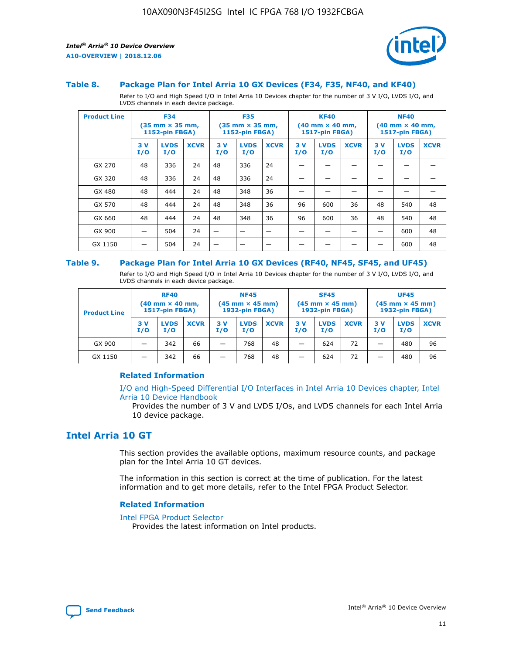

#### **Table 8. Package Plan for Intel Arria 10 GX Devices (F34, F35, NF40, and KF40)**

Refer to I/O and High Speed I/O in Intel Arria 10 Devices chapter for the number of 3 V I/O, LVDS I/O, and LVDS channels in each device package.

| <b>Product Line</b> | <b>F34</b><br>$(35 \text{ mm} \times 35 \text{ mm})$<br><b>1152-pin FBGA)</b> |                    | <b>F35</b><br>$(35 \text{ mm} \times 35 \text{ mm})$<br><b>1152-pin FBGA)</b> |           | <b>KF40</b><br>$(40$ mm $\times$ 40 mm,<br><b>1517-pin FBGA)</b> |             |           | <b>NF40</b><br>$(40 \text{ mm} \times 40 \text{ mm})$<br>1517-pin FBGA) |             |           |                    |             |
|---------------------|-------------------------------------------------------------------------------|--------------------|-------------------------------------------------------------------------------|-----------|------------------------------------------------------------------|-------------|-----------|-------------------------------------------------------------------------|-------------|-----------|--------------------|-------------|
|                     | 3V<br>I/O                                                                     | <b>LVDS</b><br>I/O | <b>XCVR</b>                                                                   | 3V<br>I/O | <b>LVDS</b><br>I/O                                               | <b>XCVR</b> | 3V<br>I/O | <b>LVDS</b><br>I/O                                                      | <b>XCVR</b> | 3V<br>I/O | <b>LVDS</b><br>I/O | <b>XCVR</b> |
| GX 270              | 48                                                                            | 336                | 24                                                                            | 48        | 336                                                              | 24          |           |                                                                         |             |           |                    |             |
| GX 320              | 48                                                                            | 336                | 24                                                                            | 48        | 336                                                              | 24          |           |                                                                         |             |           |                    |             |
| GX 480              | 48                                                                            | 444                | 24                                                                            | 48        | 348                                                              | 36          |           |                                                                         |             |           |                    |             |
| GX 570              | 48                                                                            | 444                | 24                                                                            | 48        | 348                                                              | 36          | 96        | 600                                                                     | 36          | 48        | 540                | 48          |
| GX 660              | 48                                                                            | 444                | 24                                                                            | 48        | 348                                                              | 36          | 96        | 600                                                                     | 36          | 48        | 540                | 48          |
| GX 900              |                                                                               | 504                | 24                                                                            | —         |                                                                  | -           |           |                                                                         |             |           | 600                | 48          |
| GX 1150             |                                                                               | 504                | 24                                                                            |           |                                                                  |             |           |                                                                         |             |           | 600                | 48          |

#### **Table 9. Package Plan for Intel Arria 10 GX Devices (RF40, NF45, SF45, and UF45)**

Refer to I/O and High Speed I/O in Intel Arria 10 Devices chapter for the number of 3 V I/O, LVDS I/O, and LVDS channels in each device package.

| <b>Product Line</b> | <b>RF40</b><br>$(40$ mm $\times$ 40 mm,<br>1517-pin FBGA) |                    |             | <b>NF45</b><br>$(45 \text{ mm} \times 45 \text{ mm})$<br><b>1932-pin FBGA)</b> |                    |             | <b>SF45</b><br>$(45 \text{ mm} \times 45 \text{ mm})$<br><b>1932-pin FBGA)</b> |                    |             | <b>UF45</b><br>$(45 \text{ mm} \times 45 \text{ mm})$<br><b>1932-pin FBGA)</b> |                    |             |
|---------------------|-----------------------------------------------------------|--------------------|-------------|--------------------------------------------------------------------------------|--------------------|-------------|--------------------------------------------------------------------------------|--------------------|-------------|--------------------------------------------------------------------------------|--------------------|-------------|
|                     | 3V<br>I/O                                                 | <b>LVDS</b><br>I/O | <b>XCVR</b> | 3 V<br>I/O                                                                     | <b>LVDS</b><br>I/O | <b>XCVR</b> | 3 V<br>I/O                                                                     | <b>LVDS</b><br>I/O | <b>XCVR</b> | 3V<br>I/O                                                                      | <b>LVDS</b><br>I/O | <b>XCVR</b> |
| GX 900              |                                                           | 342                | 66          | _                                                                              | 768                | 48          |                                                                                | 624                | 72          |                                                                                | 480                | 96          |
| GX 1150             |                                                           | 342                | 66          | _                                                                              | 768                | 48          |                                                                                | 624                | 72          |                                                                                | 480                | 96          |

## **Related Information**

[I/O and High-Speed Differential I/O Interfaces in Intel Arria 10 Devices chapter, Intel](https://www.intel.com/content/www/us/en/programmable/documentation/sam1403482614086.html#sam1403482030321) [Arria 10 Device Handbook](https://www.intel.com/content/www/us/en/programmable/documentation/sam1403482614086.html#sam1403482030321)

Provides the number of 3 V and LVDS I/Os, and LVDS channels for each Intel Arria 10 device package.

# **Intel Arria 10 GT**

This section provides the available options, maximum resource counts, and package plan for the Intel Arria 10 GT devices.

The information in this section is correct at the time of publication. For the latest information and to get more details, refer to the Intel FPGA Product Selector.

#### **Related Information**

#### [Intel FPGA Product Selector](http://www.altera.com/products/selector/psg-selector.html)

Provides the latest information on Intel products.

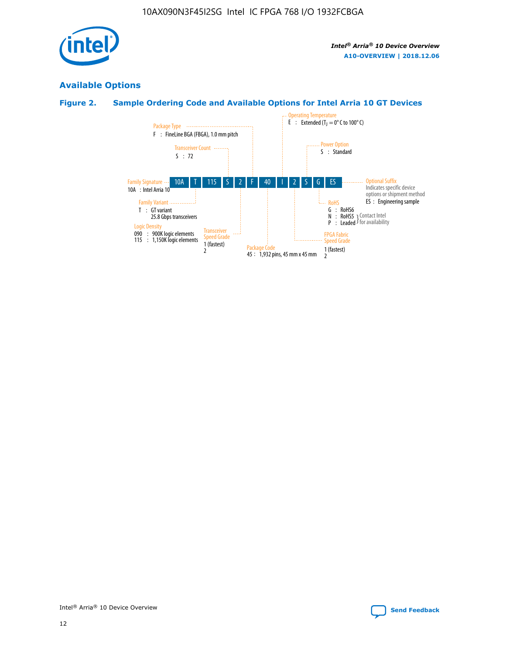

# **Available Options**

# **Figure 2. Sample Ordering Code and Available Options for Intel Arria 10 GT Devices**

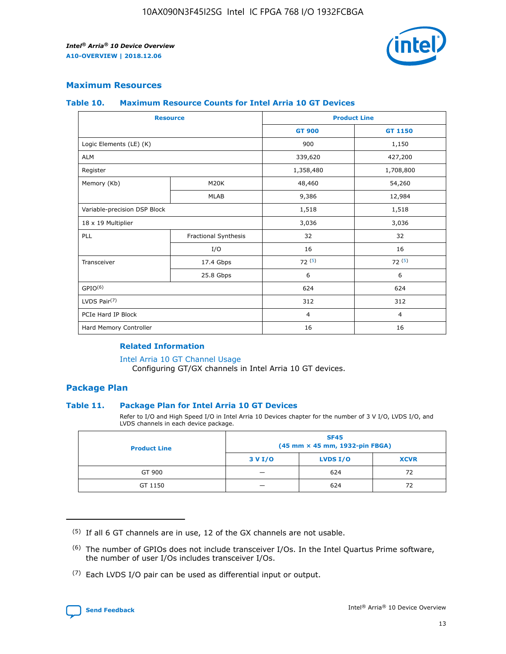

# **Maximum Resources**

#### **Table 10. Maximum Resource Counts for Intel Arria 10 GT Devices**

| <b>Resource</b>              |                      |                | <b>Product Line</b> |  |
|------------------------------|----------------------|----------------|---------------------|--|
|                              |                      | <b>GT 900</b>  | GT 1150             |  |
| Logic Elements (LE) (K)      |                      | 900            | 1,150               |  |
| <b>ALM</b>                   |                      | 339,620        | 427,200             |  |
| Register                     |                      | 1,358,480      | 1,708,800           |  |
| Memory (Kb)                  | M <sub>20</sub> K    | 48,460         | 54,260              |  |
|                              | <b>MLAB</b>          | 9,386          | 12,984              |  |
| Variable-precision DSP Block |                      | 1,518          | 1,518               |  |
| 18 x 19 Multiplier           |                      | 3,036          | 3,036               |  |
| PLL                          | Fractional Synthesis | 32             | 32                  |  |
|                              | I/O                  | 16             | 16                  |  |
| Transceiver                  | 17.4 Gbps            | 72(5)          | 72(5)               |  |
|                              | 25.8 Gbps            | 6              | 6                   |  |
| GPIO <sup>(6)</sup>          |                      | 624            | 624                 |  |
| LVDS Pair $(7)$              |                      | 312            | 312                 |  |
| PCIe Hard IP Block           |                      | $\overline{4}$ | $\overline{4}$      |  |
| Hard Memory Controller       |                      | 16             | 16                  |  |

#### **Related Information**

#### [Intel Arria 10 GT Channel Usage](https://www.intel.com/content/www/us/en/programmable/documentation/nik1398707230472.html#nik1398707008178)

Configuring GT/GX channels in Intel Arria 10 GT devices.

## **Package Plan**

## **Table 11. Package Plan for Intel Arria 10 GT Devices**

Refer to I/O and High Speed I/O in Intel Arria 10 Devices chapter for the number of 3 V I/O, LVDS I/O, and LVDS channels in each device package.

| <b>Product Line</b> | <b>SF45</b><br>(45 mm × 45 mm, 1932-pin FBGA) |                 |             |  |  |  |
|---------------------|-----------------------------------------------|-----------------|-------------|--|--|--|
|                     | 3 V I/O                                       | <b>LVDS I/O</b> | <b>XCVR</b> |  |  |  |
| GT 900              |                                               | 624             | 72          |  |  |  |
| GT 1150             |                                               | 624             |             |  |  |  |

<sup>(7)</sup> Each LVDS I/O pair can be used as differential input or output.



 $(5)$  If all 6 GT channels are in use, 12 of the GX channels are not usable.

<sup>(6)</sup> The number of GPIOs does not include transceiver I/Os. In the Intel Quartus Prime software, the number of user I/Os includes transceiver I/Os.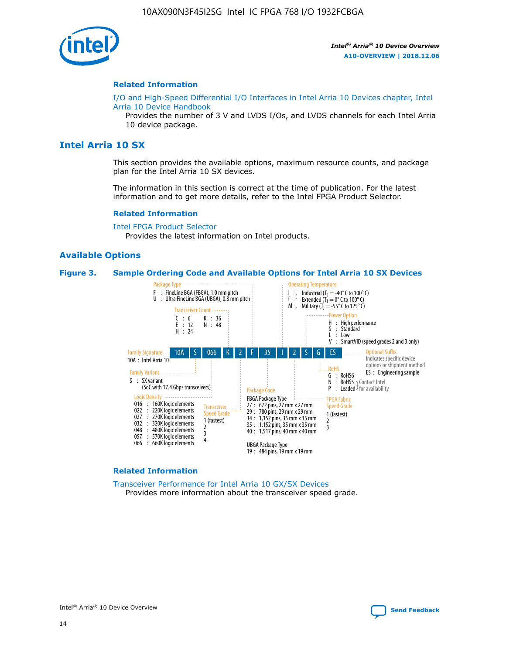

#### **Related Information**

[I/O and High-Speed Differential I/O Interfaces in Intel Arria 10 Devices chapter, Intel](https://www.intel.com/content/www/us/en/programmable/documentation/sam1403482614086.html#sam1403482030321) [Arria 10 Device Handbook](https://www.intel.com/content/www/us/en/programmable/documentation/sam1403482614086.html#sam1403482030321)

Provides the number of 3 V and LVDS I/Os, and LVDS channels for each Intel Arria 10 device package.

# **Intel Arria 10 SX**

This section provides the available options, maximum resource counts, and package plan for the Intel Arria 10 SX devices.

The information in this section is correct at the time of publication. For the latest information and to get more details, refer to the Intel FPGA Product Selector.

#### **Related Information**

[Intel FPGA Product Selector](http://www.altera.com/products/selector/psg-selector.html) Provides the latest information on Intel products.

#### **Available Options**

#### **Figure 3. Sample Ordering Code and Available Options for Intel Arria 10 SX Devices**



#### **Related Information**

[Transceiver Performance for Intel Arria 10 GX/SX Devices](https://www.intel.com/content/www/us/en/programmable/documentation/mcn1413182292568.html#mcn1413213965502) Provides more information about the transceiver speed grade.

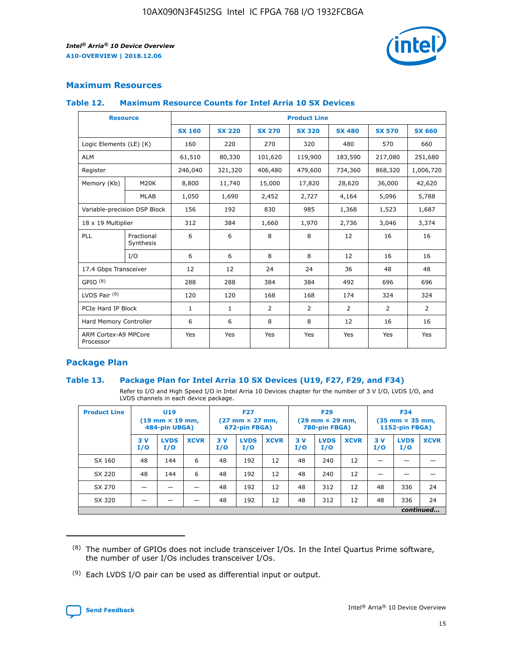

# **Maximum Resources**

## **Table 12. Maximum Resource Counts for Intel Arria 10 SX Devices**

| <b>Resource</b>                   |                         | <b>Product Line</b> |               |                |                |                |                |                |  |  |  |
|-----------------------------------|-------------------------|---------------------|---------------|----------------|----------------|----------------|----------------|----------------|--|--|--|
|                                   |                         | <b>SX 160</b>       | <b>SX 220</b> | <b>SX 270</b>  | <b>SX 320</b>  | <b>SX 480</b>  | <b>SX 570</b>  | <b>SX 660</b>  |  |  |  |
| Logic Elements (LE) (K)           |                         | 160                 | 220           | 270            | 320            | 480            | 570            | 660            |  |  |  |
| <b>ALM</b>                        |                         | 61,510              | 80,330        | 101,620        | 119,900        | 183,590        | 217,080        | 251,680        |  |  |  |
| Register                          |                         | 246,040             | 321,320       | 406,480        | 479,600        | 734,360        | 868,320        | 1,006,720      |  |  |  |
| Memory (Kb)                       | <b>M20K</b>             | 8,800               | 11,740        | 15,000         | 17,820         | 28,620         | 36,000         | 42,620         |  |  |  |
|                                   | <b>MLAB</b>             | 1,050               | 1,690         | 2,452          | 2,727          | 4,164          | 5,096          | 5,788          |  |  |  |
| Variable-precision DSP Block      |                         | 156                 | 192           | 830            | 985            | 1,368          | 1,523          | 1,687          |  |  |  |
| 18 x 19 Multiplier                |                         | 312                 | 384           | 1,660          | 1,970          | 2,736          | 3,046          | 3,374          |  |  |  |
| PLL                               | Fractional<br>Synthesis | 6                   | 6             | 8              | 8              | 12             | 16             | 16             |  |  |  |
|                                   | I/O                     | 6                   | 6             | 8              | 8              | 12             | 16             | 16             |  |  |  |
| 17.4 Gbps Transceiver             |                         | 12                  | 12            | 24             | 24             | 36             | 48             | 48             |  |  |  |
| GPIO <sup>(8)</sup>               |                         | 288                 | 288           | 384            | 384            | 492            | 696            | 696            |  |  |  |
| LVDS Pair $(9)$                   |                         | 120                 | 120           | 168            | 168            | 174            | 324            | 324            |  |  |  |
| PCIe Hard IP Block                |                         | $\mathbf{1}$        | $\mathbf{1}$  | $\overline{2}$ | $\overline{2}$ | $\overline{2}$ | $\overline{2}$ | $\overline{2}$ |  |  |  |
| Hard Memory Controller            |                         | 6                   | 6             | 8              | 8              | 12             | 16             | 16             |  |  |  |
| ARM Cortex-A9 MPCore<br>Processor |                         | Yes                 | Yes           | Yes            | Yes            | Yes            | Yes            | <b>Yes</b>     |  |  |  |

# **Package Plan**

## **Table 13. Package Plan for Intel Arria 10 SX Devices (U19, F27, F29, and F34)**

Refer to I/O and High Speed I/O in Intel Arria 10 Devices chapter for the number of 3 V I/O, LVDS I/O, and LVDS channels in each device package.

| <b>Product Line</b> | U19<br>$(19 \text{ mm} \times 19 \text{ mm})$<br>484-pin UBGA) |                    |             | <b>F27</b><br>$(27 \text{ mm} \times 27 \text{ mm})$ .<br>672-pin FBGA) |                    | <b>F29</b><br>$(29 \text{ mm} \times 29 \text{ mm})$ .<br>780-pin FBGA) |            |                    | <b>F34</b><br>$(35 \text{ mm} \times 35 \text{ mm})$<br><b>1152-pin FBGA)</b> |           |                    |             |
|---------------------|----------------------------------------------------------------|--------------------|-------------|-------------------------------------------------------------------------|--------------------|-------------------------------------------------------------------------|------------|--------------------|-------------------------------------------------------------------------------|-----------|--------------------|-------------|
|                     | 3V<br>I/O                                                      | <b>LVDS</b><br>I/O | <b>XCVR</b> | 3V<br>I/O                                                               | <b>LVDS</b><br>I/O | <b>XCVR</b>                                                             | 3 V<br>I/O | <b>LVDS</b><br>I/O | <b>XCVR</b>                                                                   | 3V<br>I/O | <b>LVDS</b><br>I/O | <b>XCVR</b> |
| SX 160              | 48                                                             | 144                | 6           | 48                                                                      | 192                | 12                                                                      | 48         | 240                | 12                                                                            |           |                    |             |
| SX 220              | 48                                                             | 144                | 6           | 48                                                                      | 192                | 12                                                                      | 48         | 240                | 12                                                                            |           |                    |             |
| SX 270              |                                                                |                    |             | 48                                                                      | 192                | 12                                                                      | 48         | 312                | 12                                                                            | 48        | 336                | 24          |
| SX 320              |                                                                |                    |             | 48                                                                      | 192                | 12                                                                      | 48         | 312                | 12                                                                            | 48        | 336                | 24          |
|                     |                                                                | continued          |             |                                                                         |                    |                                                                         |            |                    |                                                                               |           |                    |             |

 $(8)$  The number of GPIOs does not include transceiver I/Os. In the Intel Quartus Prime software, the number of user I/Os includes transceiver I/Os.

 $(9)$  Each LVDS I/O pair can be used as differential input or output.

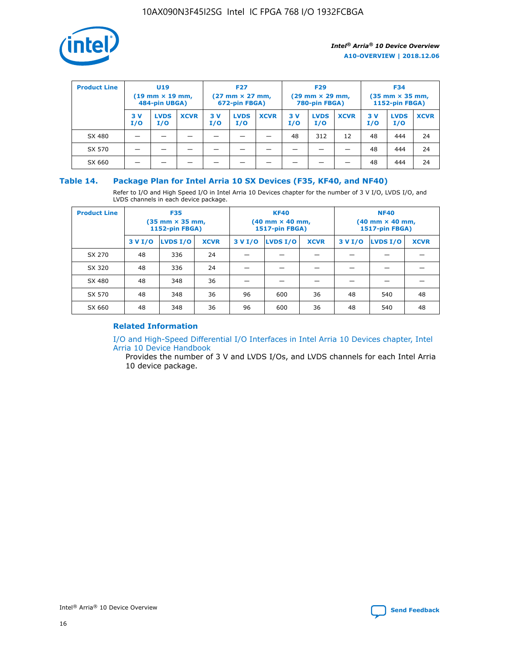

| <b>Product Line</b> | U <sub>19</sub><br>$(19 \text{ mm} \times 19 \text{ mm})$<br>484-pin UBGA) |                    | <b>F27</b><br>$(27 \text{ mm} \times 27 \text{ mm})$<br>672-pin FBGA) |           | <b>F29</b><br>$(29 \text{ mm} \times 29 \text{ mm})$<br>780-pin FBGA) |             |           | <b>F34</b><br>$(35$ mm $\times$ 35 mm,<br><b>1152-pin FBGA)</b> |             |           |                    |             |
|---------------------|----------------------------------------------------------------------------|--------------------|-----------------------------------------------------------------------|-----------|-----------------------------------------------------------------------|-------------|-----------|-----------------------------------------------------------------|-------------|-----------|--------------------|-------------|
|                     | 3V<br>I/O                                                                  | <b>LVDS</b><br>I/O | <b>XCVR</b>                                                           | 3V<br>I/O | <b>LVDS</b><br>I/O                                                    | <b>XCVR</b> | 3V<br>I/O | <b>LVDS</b><br>I/O                                              | <b>XCVR</b> | 3V<br>I/O | <b>LVDS</b><br>I/O | <b>XCVR</b> |
| SX 480              |                                                                            |                    |                                                                       |           |                                                                       |             | 48        | 312                                                             | 12          | 48        | 444                | 24          |
| SX 570              |                                                                            |                    |                                                                       |           |                                                                       |             |           |                                                                 |             | 48        | 444                | 24          |
| SX 660              |                                                                            |                    |                                                                       |           |                                                                       |             |           |                                                                 |             | 48        | 444                | 24          |

## **Table 14. Package Plan for Intel Arria 10 SX Devices (F35, KF40, and NF40)**

Refer to I/O and High Speed I/O in Intel Arria 10 Devices chapter for the number of 3 V I/O, LVDS I/O, and LVDS channels in each device package.

| <b>Product Line</b> | <b>F35</b><br>(35 mm × 35 mm,<br><b>1152-pin FBGA)</b> |          |             |                                           | <b>KF40</b><br>(40 mm × 40 mm,<br>1517-pin FBGA) |    | <b>NF40</b><br>$(40 \text{ mm} \times 40 \text{ mm})$<br>1517-pin FBGA) |          |             |  |
|---------------------|--------------------------------------------------------|----------|-------------|-------------------------------------------|--------------------------------------------------|----|-------------------------------------------------------------------------|----------|-------------|--|
|                     | 3 V I/O                                                | LVDS I/O | <b>XCVR</b> | <b>LVDS I/O</b><br>3 V I/O<br><b>XCVR</b> |                                                  |    | 3 V I/O                                                                 | LVDS I/O | <b>XCVR</b> |  |
| SX 270              | 48                                                     | 336      | 24          |                                           |                                                  |    |                                                                         |          |             |  |
| SX 320              | 48                                                     | 336      | 24          |                                           |                                                  |    |                                                                         |          |             |  |
| SX 480              | 48                                                     | 348      | 36          |                                           |                                                  |    |                                                                         |          |             |  |
| SX 570              | 48                                                     | 348      | 36          | 96                                        | 600                                              | 36 | 48                                                                      | 540      | 48          |  |
| SX 660              | 48                                                     | 348      | 36          | 96                                        | 600                                              | 36 | 48                                                                      | 540      | 48          |  |

# **Related Information**

[I/O and High-Speed Differential I/O Interfaces in Intel Arria 10 Devices chapter, Intel](https://www.intel.com/content/www/us/en/programmable/documentation/sam1403482614086.html#sam1403482030321) [Arria 10 Device Handbook](https://www.intel.com/content/www/us/en/programmable/documentation/sam1403482614086.html#sam1403482030321)

Provides the number of 3 V and LVDS I/Os, and LVDS channels for each Intel Arria 10 device package.

Intel<sup>®</sup> Arria<sup>®</sup> 10 Device Overview **[Send Feedback](mailto:FPGAtechdocfeedback@intel.com?subject=Feedback%20on%20Intel%20Arria%2010%20Device%20Overview%20(A10-OVERVIEW%202018.12.06)&body=We%20appreciate%20your%20feedback.%20In%20your%20comments,%20also%20specify%20the%20page%20number%20or%20paragraph.%20Thank%20you.)** Send Feedback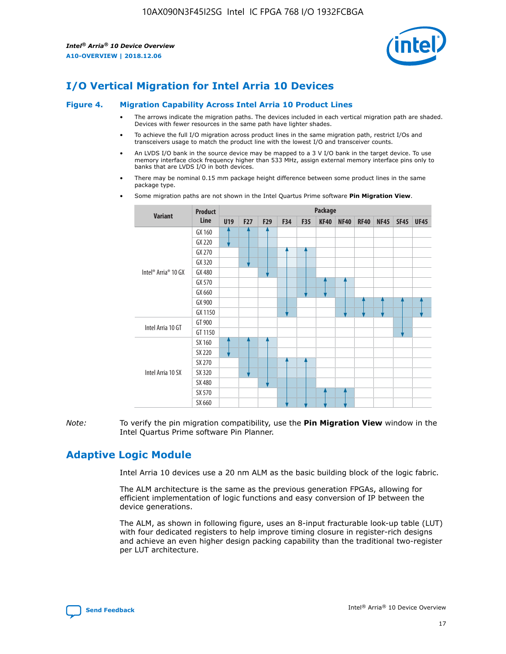

# **I/O Vertical Migration for Intel Arria 10 Devices**

#### **Figure 4. Migration Capability Across Intel Arria 10 Product Lines**

- The arrows indicate the migration paths. The devices included in each vertical migration path are shaded. Devices with fewer resources in the same path have lighter shades.
- To achieve the full I/O migration across product lines in the same migration path, restrict I/Os and transceivers usage to match the product line with the lowest I/O and transceiver counts.
- An LVDS I/O bank in the source device may be mapped to a 3 V I/O bank in the target device. To use memory interface clock frequency higher than 533 MHz, assign external memory interface pins only to banks that are LVDS I/O in both devices.
- There may be nominal 0.15 mm package height difference between some product lines in the same package type.
	- **Variant Product Line Package U19 F27 F29 F34 F35 KF40 NF40 RF40 NF45 SF45 UF45** Intel® Arria® 10 GX GX 160 GX 220 GX 270 GX 320 GX 480 GX 570 GX 660 GX 900 GX 1150 Intel Arria 10 GT GT 900 GT 1150 Intel Arria 10 SX SX 160 SX 220 SX 270 SX 320 SX 480 SX 570 SX 660
- Some migration paths are not shown in the Intel Quartus Prime software **Pin Migration View**.

*Note:* To verify the pin migration compatibility, use the **Pin Migration View** window in the Intel Quartus Prime software Pin Planner.

# **Adaptive Logic Module**

Intel Arria 10 devices use a 20 nm ALM as the basic building block of the logic fabric.

The ALM architecture is the same as the previous generation FPGAs, allowing for efficient implementation of logic functions and easy conversion of IP between the device generations.

The ALM, as shown in following figure, uses an 8-input fracturable look-up table (LUT) with four dedicated registers to help improve timing closure in register-rich designs and achieve an even higher design packing capability than the traditional two-register per LUT architecture.

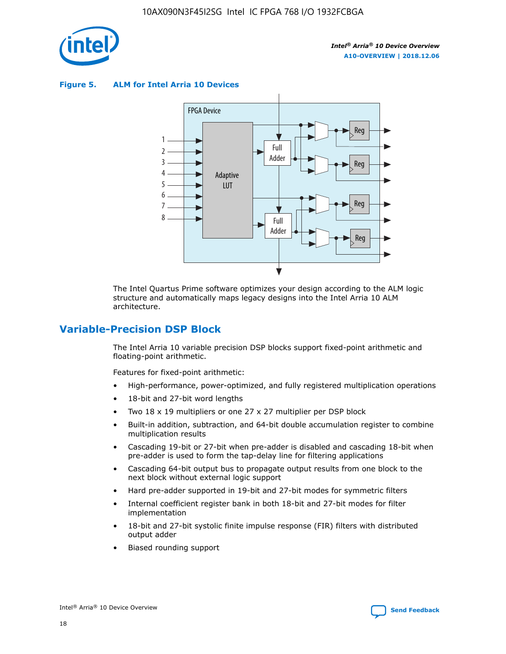

**Figure 5. ALM for Intel Arria 10 Devices**



The Intel Quartus Prime software optimizes your design according to the ALM logic structure and automatically maps legacy designs into the Intel Arria 10 ALM architecture.

# **Variable-Precision DSP Block**

The Intel Arria 10 variable precision DSP blocks support fixed-point arithmetic and floating-point arithmetic.

Features for fixed-point arithmetic:

- High-performance, power-optimized, and fully registered multiplication operations
- 18-bit and 27-bit word lengths
- Two 18 x 19 multipliers or one 27 x 27 multiplier per DSP block
- Built-in addition, subtraction, and 64-bit double accumulation register to combine multiplication results
- Cascading 19-bit or 27-bit when pre-adder is disabled and cascading 18-bit when pre-adder is used to form the tap-delay line for filtering applications
- Cascading 64-bit output bus to propagate output results from one block to the next block without external logic support
- Hard pre-adder supported in 19-bit and 27-bit modes for symmetric filters
- Internal coefficient register bank in both 18-bit and 27-bit modes for filter implementation
- 18-bit and 27-bit systolic finite impulse response (FIR) filters with distributed output adder
- Biased rounding support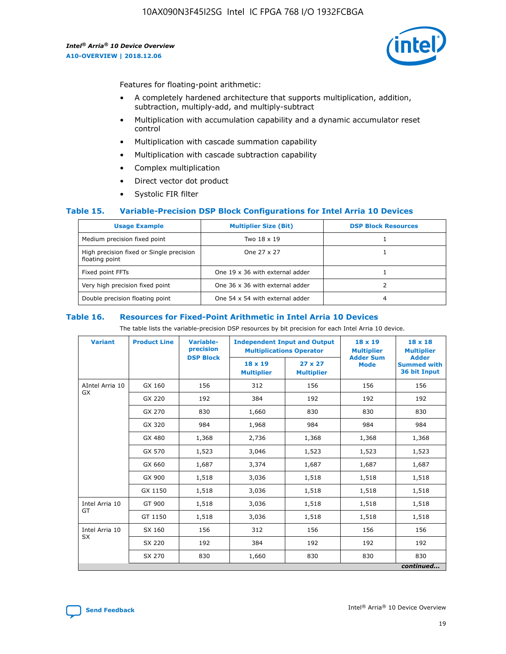

Features for floating-point arithmetic:

- A completely hardened architecture that supports multiplication, addition, subtraction, multiply-add, and multiply-subtract
- Multiplication with accumulation capability and a dynamic accumulator reset control
- Multiplication with cascade summation capability
- Multiplication with cascade subtraction capability
- Complex multiplication
- Direct vector dot product
- Systolic FIR filter

## **Table 15. Variable-Precision DSP Block Configurations for Intel Arria 10 Devices**

| <b>Usage Example</b>                                       | <b>Multiplier Size (Bit)</b>    | <b>DSP Block Resources</b> |
|------------------------------------------------------------|---------------------------------|----------------------------|
| Medium precision fixed point                               | Two 18 x 19                     |                            |
| High precision fixed or Single precision<br>floating point | One 27 x 27                     |                            |
| Fixed point FFTs                                           | One 19 x 36 with external adder |                            |
| Very high precision fixed point                            | One 36 x 36 with external adder |                            |
| Double precision floating point                            | One 54 x 54 with external adder | 4                          |

#### **Table 16. Resources for Fixed-Point Arithmetic in Intel Arria 10 Devices**

The table lists the variable-precision DSP resources by bit precision for each Intel Arria 10 device.

| <b>Variant</b>  | <b>Product Line</b> | Variable-<br>precision<br><b>DSP Block</b> | <b>Independent Input and Output</b><br><b>Multiplications Operator</b> |                                     | 18 x 19<br><b>Multiplier</b><br><b>Adder Sum</b> | $18 \times 18$<br><b>Multiplier</b><br><b>Adder</b> |
|-----------------|---------------------|--------------------------------------------|------------------------------------------------------------------------|-------------------------------------|--------------------------------------------------|-----------------------------------------------------|
|                 |                     |                                            | 18 x 19<br><b>Multiplier</b>                                           | $27 \times 27$<br><b>Multiplier</b> | <b>Mode</b>                                      | <b>Summed with</b><br>36 bit Input                  |
| AIntel Arria 10 | GX 160              | 156                                        | 312                                                                    | 156                                 | 156                                              | 156                                                 |
| GX              | GX 220              | 192                                        | 384                                                                    | 192                                 | 192                                              | 192                                                 |
|                 | GX 270              | 830                                        | 1,660                                                                  | 830                                 | 830                                              | 830                                                 |
|                 | GX 320              | 984                                        | 1,968                                                                  | 984                                 | 984                                              | 984                                                 |
|                 | GX 480              | 1,368                                      | 2,736                                                                  | 1,368                               | 1,368                                            | 1,368                                               |
|                 | GX 570              | 1,523                                      | 3,046                                                                  | 1,523                               | 1,523                                            | 1,523                                               |
|                 | GX 660              | 1,687                                      | 3,374                                                                  | 1,687                               | 1,687                                            | 1,687                                               |
|                 | GX 900              | 1,518                                      | 3,036                                                                  | 1,518                               | 1,518                                            | 1,518                                               |
|                 | GX 1150             | 1,518                                      | 3,036                                                                  | 1,518                               | 1,518                                            | 1,518                                               |
| Intel Arria 10  | GT 900              | 1,518                                      | 3,036                                                                  | 1,518                               | 1,518                                            | 1,518                                               |
| GT              | GT 1150             | 1,518                                      | 3,036                                                                  | 1,518                               | 1,518                                            | 1,518                                               |
| Intel Arria 10  | SX 160              | 156                                        | 312                                                                    | 156                                 | 156                                              | 156                                                 |
| <b>SX</b>       | SX 220              | 192                                        | 384                                                                    | 192                                 | 192                                              | 192                                                 |
|                 | SX 270              | 830                                        | 1,660                                                                  | 830                                 | 830                                              | 830                                                 |
|                 |                     |                                            |                                                                        |                                     |                                                  | continued                                           |

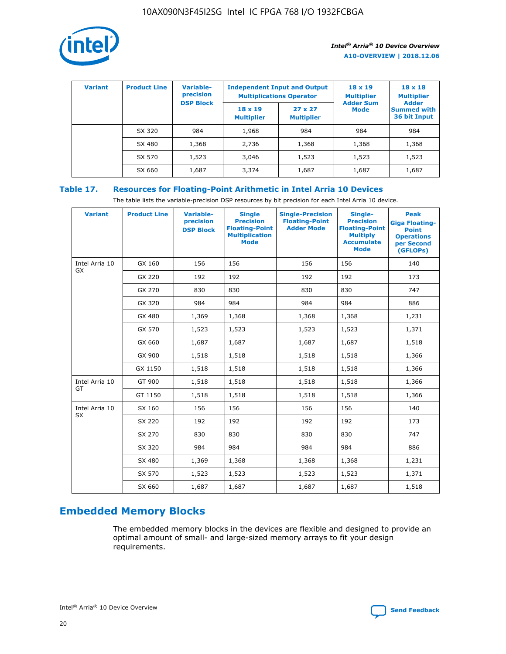

| <b>Variant</b> | <b>Product Line</b> | Variable-<br>precision | <b>Independent Input and Output</b><br><b>Multiplications Operator</b> |                                     | $18 \times 19$<br><b>Multiplier</b> | $18 \times 18$<br><b>Multiplier</b><br><b>Adder</b> |  |
|----------------|---------------------|------------------------|------------------------------------------------------------------------|-------------------------------------|-------------------------------------|-----------------------------------------------------|--|
|                |                     | <b>DSP Block</b>       | $18 \times 19$<br><b>Multiplier</b>                                    | $27 \times 27$<br><b>Multiplier</b> | <b>Adder Sum</b><br><b>Mode</b>     | <b>Summed with</b><br>36 bit Input                  |  |
|                | SX 320              | 984                    | 1,968                                                                  | 984                                 | 984                                 | 984                                                 |  |
|                | SX 480              | 1,368                  | 2,736                                                                  | 1,368                               | 1,368                               | 1,368                                               |  |
|                | SX 570              | 1,523                  | 3,046                                                                  | 1,523                               | 1,523                               | 1,523                                               |  |
|                | SX 660              | 1,687                  | 3,374                                                                  | 1,687                               | 1,687                               | 1,687                                               |  |

# **Table 17. Resources for Floating-Point Arithmetic in Intel Arria 10 Devices**

The table lists the variable-precision DSP resources by bit precision for each Intel Arria 10 device.

| <b>Variant</b> | <b>Product Line</b> | <b>Variable-</b><br>precision<br><b>DSP Block</b> | <b>Single</b><br><b>Precision</b><br><b>Floating-Point</b><br><b>Multiplication</b><br><b>Mode</b> | <b>Single-Precision</b><br><b>Floating-Point</b><br><b>Adder Mode</b> | Single-<br><b>Precision</b><br><b>Floating-Point</b><br><b>Multiply</b><br><b>Accumulate</b><br><b>Mode</b> | <b>Peak</b><br><b>Giga Floating-</b><br><b>Point</b><br><b>Operations</b><br>per Second<br>(GFLOPs) |
|----------------|---------------------|---------------------------------------------------|----------------------------------------------------------------------------------------------------|-----------------------------------------------------------------------|-------------------------------------------------------------------------------------------------------------|-----------------------------------------------------------------------------------------------------|
| Intel Arria 10 | GX 160              | 156                                               | 156                                                                                                | 156                                                                   | 156                                                                                                         | 140                                                                                                 |
| GX             | GX 220              | 192                                               | 192                                                                                                | 192                                                                   | 192                                                                                                         | 173                                                                                                 |
|                | GX 270              | 830                                               | 830                                                                                                | 830                                                                   | 830                                                                                                         | 747                                                                                                 |
|                | GX 320              | 984                                               | 984                                                                                                | 984                                                                   | 984                                                                                                         | 886                                                                                                 |
|                | GX 480              | 1,369                                             | 1,368                                                                                              | 1,368                                                                 | 1,368                                                                                                       | 1,231                                                                                               |
|                | GX 570              | 1,523                                             | 1,523                                                                                              | 1,523                                                                 | 1,523                                                                                                       | 1,371                                                                                               |
|                | GX 660              | 1,687                                             | 1,687                                                                                              | 1,687                                                                 | 1,687                                                                                                       | 1,518                                                                                               |
|                | GX 900              | 1,518                                             | 1,518                                                                                              | 1,518                                                                 | 1,518                                                                                                       | 1,366                                                                                               |
|                | GX 1150             | 1,518                                             | 1,518                                                                                              | 1,518                                                                 | 1,518                                                                                                       | 1,366                                                                                               |
| Intel Arria 10 | GT 900              | 1,518                                             | 1,518                                                                                              | 1,518                                                                 | 1,518                                                                                                       | 1,366                                                                                               |
| GT             | GT 1150             | 1,518                                             | 1,518                                                                                              | 1,518                                                                 | 1,518                                                                                                       | 1,366                                                                                               |
| Intel Arria 10 | SX 160              | 156                                               | 156                                                                                                | 156                                                                   | 156                                                                                                         | 140                                                                                                 |
| <b>SX</b>      | SX 220              | 192                                               | 192                                                                                                | 192                                                                   | 192                                                                                                         | 173                                                                                                 |
|                | SX 270              | 830                                               | 830                                                                                                | 830                                                                   | 830                                                                                                         | 747                                                                                                 |
|                | SX 320              | 984                                               | 984                                                                                                | 984                                                                   | 984                                                                                                         | 886                                                                                                 |
|                | SX 480              | 1,369                                             | 1,368                                                                                              | 1,368                                                                 | 1,368                                                                                                       | 1,231                                                                                               |
|                | SX 570              | 1,523                                             | 1,523                                                                                              | 1,523                                                                 | 1,523                                                                                                       | 1,371                                                                                               |
|                | SX 660              | 1,687                                             | 1,687                                                                                              | 1,687                                                                 | 1,687                                                                                                       | 1,518                                                                                               |

# **Embedded Memory Blocks**

The embedded memory blocks in the devices are flexible and designed to provide an optimal amount of small- and large-sized memory arrays to fit your design requirements.

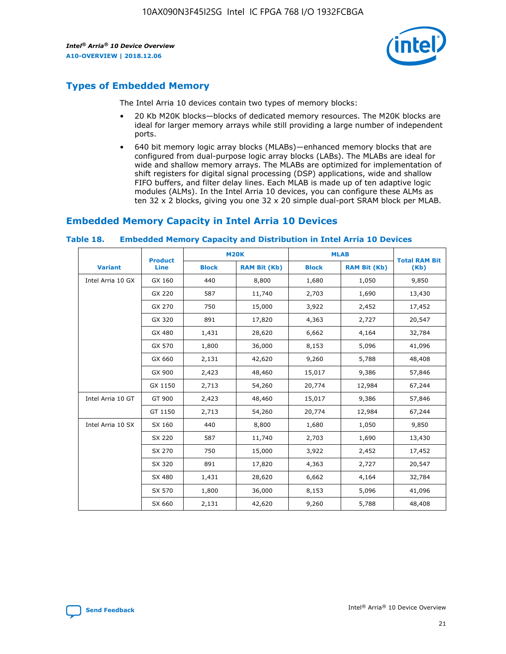

# **Types of Embedded Memory**

The Intel Arria 10 devices contain two types of memory blocks:

- 20 Kb M20K blocks—blocks of dedicated memory resources. The M20K blocks are ideal for larger memory arrays while still providing a large number of independent ports.
- 640 bit memory logic array blocks (MLABs)—enhanced memory blocks that are configured from dual-purpose logic array blocks (LABs). The MLABs are ideal for wide and shallow memory arrays. The MLABs are optimized for implementation of shift registers for digital signal processing (DSP) applications, wide and shallow FIFO buffers, and filter delay lines. Each MLAB is made up of ten adaptive logic modules (ALMs). In the Intel Arria 10 devices, you can configure these ALMs as ten 32 x 2 blocks, giving you one 32 x 20 simple dual-port SRAM block per MLAB.

# **Embedded Memory Capacity in Intel Arria 10 Devices**

|                   | <b>Product</b> |              | <b>M20K</b>         | <b>MLAB</b>  |                     | <b>Total RAM Bit</b> |
|-------------------|----------------|--------------|---------------------|--------------|---------------------|----------------------|
| <b>Variant</b>    | <b>Line</b>    | <b>Block</b> | <b>RAM Bit (Kb)</b> | <b>Block</b> | <b>RAM Bit (Kb)</b> | (Kb)                 |
| Intel Arria 10 GX | GX 160         | 440          | 8,800               | 1,680        | 1,050               | 9,850                |
|                   | GX 220         | 587          | 11,740              | 2,703        | 1,690               | 13,430               |
|                   | GX 270         | 750          | 15,000              | 3,922        | 2,452               | 17,452               |
|                   | GX 320         | 891          | 17,820              | 4,363        | 2,727               | 20,547               |
|                   | GX 480         | 1,431        | 28,620              | 6,662        | 4,164               | 32,784               |
|                   | GX 570         | 1,800        | 36,000              | 8,153        | 5,096               | 41,096               |
|                   | GX 660         | 2,131        | 42,620              | 9,260        | 5,788               | 48,408               |
|                   | GX 900         | 2,423        | 48,460              | 15,017       | 9,386               | 57,846               |
|                   | GX 1150        | 2,713        | 54,260              | 20,774       | 12,984              | 67,244               |
| Intel Arria 10 GT | GT 900         | 2,423        | 48,460              | 15,017       | 9,386               | 57,846               |
|                   | GT 1150        | 2,713        | 54,260              | 20,774       | 12,984              | 67,244               |
| Intel Arria 10 SX | SX 160         | 440          | 8,800               | 1,680        | 1,050               | 9,850                |
|                   | SX 220         | 587          | 11,740              | 2,703        | 1,690               | 13,430               |
|                   | SX 270         | 750          | 15,000              | 3,922        | 2,452               | 17,452               |
|                   | SX 320         | 891          | 17,820              | 4,363        | 2,727               | 20,547               |
|                   | SX 480         | 1,431        | 28,620              | 6,662        | 4,164               | 32,784               |
|                   | SX 570         | 1,800        | 36,000              | 8,153        | 5,096               | 41,096               |
|                   | SX 660         | 2,131        | 42,620              | 9,260        | 5,788               | 48,408               |

#### **Table 18. Embedded Memory Capacity and Distribution in Intel Arria 10 Devices**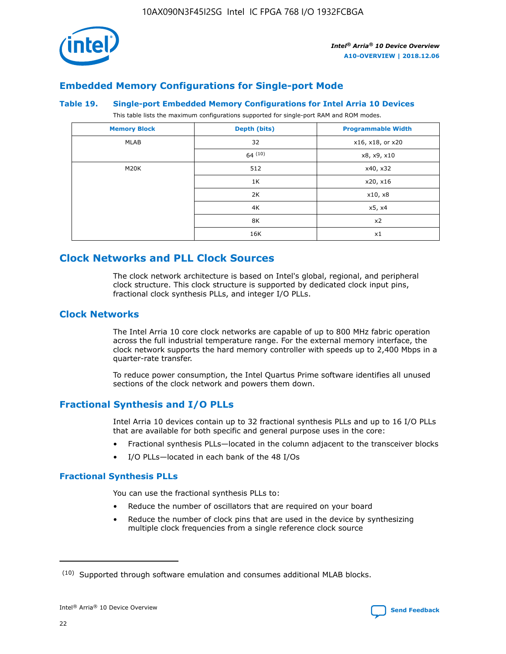

# **Embedded Memory Configurations for Single-port Mode**

#### **Table 19. Single-port Embedded Memory Configurations for Intel Arria 10 Devices**

This table lists the maximum configurations supported for single-port RAM and ROM modes.

| <b>Memory Block</b> | Depth (bits) | <b>Programmable Width</b> |
|---------------------|--------------|---------------------------|
| MLAB                | 32           | x16, x18, or x20          |
|                     | 64(10)       | x8, x9, x10               |
| M20K                | 512          | x40, x32                  |
|                     | 1K           | x20, x16                  |
|                     | 2K           | x10, x8                   |
|                     | 4K           | x5, x4                    |
|                     | 8K           | x2                        |
|                     | 16K          | x1                        |

# **Clock Networks and PLL Clock Sources**

The clock network architecture is based on Intel's global, regional, and peripheral clock structure. This clock structure is supported by dedicated clock input pins, fractional clock synthesis PLLs, and integer I/O PLLs.

# **Clock Networks**

The Intel Arria 10 core clock networks are capable of up to 800 MHz fabric operation across the full industrial temperature range. For the external memory interface, the clock network supports the hard memory controller with speeds up to 2,400 Mbps in a quarter-rate transfer.

To reduce power consumption, the Intel Quartus Prime software identifies all unused sections of the clock network and powers them down.

# **Fractional Synthesis and I/O PLLs**

Intel Arria 10 devices contain up to 32 fractional synthesis PLLs and up to 16 I/O PLLs that are available for both specific and general purpose uses in the core:

- Fractional synthesis PLLs—located in the column adjacent to the transceiver blocks
- I/O PLLs—located in each bank of the 48 I/Os

## **Fractional Synthesis PLLs**

You can use the fractional synthesis PLLs to:

- Reduce the number of oscillators that are required on your board
- Reduce the number of clock pins that are used in the device by synthesizing multiple clock frequencies from a single reference clock source

<sup>(10)</sup> Supported through software emulation and consumes additional MLAB blocks.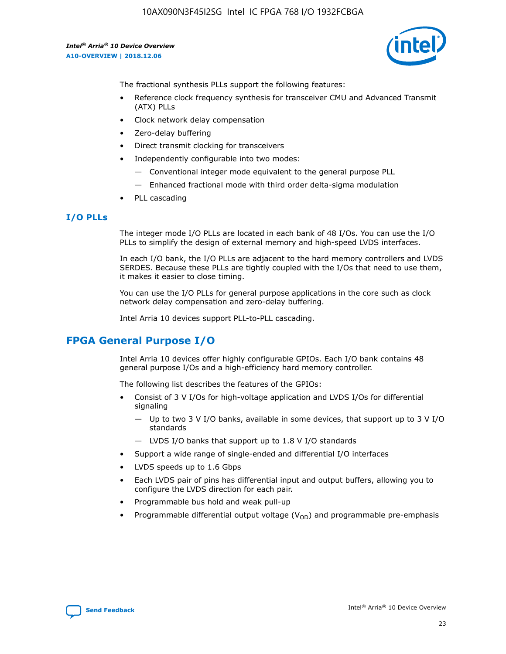10AX090N3F45I2SG Intel IC FPGA 768 I/O 1932FCBGA

*Intel® Arria® 10 Device Overview* **A10-OVERVIEW | 2018.12.06**



The fractional synthesis PLLs support the following features:

- Reference clock frequency synthesis for transceiver CMU and Advanced Transmit (ATX) PLLs
- Clock network delay compensation
- Zero-delay buffering
- Direct transmit clocking for transceivers
- Independently configurable into two modes:
	- Conventional integer mode equivalent to the general purpose PLL
	- Enhanced fractional mode with third order delta-sigma modulation
- PLL cascading

## **I/O PLLs**

The integer mode I/O PLLs are located in each bank of 48 I/Os. You can use the I/O PLLs to simplify the design of external memory and high-speed LVDS interfaces.

In each I/O bank, the I/O PLLs are adjacent to the hard memory controllers and LVDS SERDES. Because these PLLs are tightly coupled with the I/Os that need to use them, it makes it easier to close timing.

You can use the I/O PLLs for general purpose applications in the core such as clock network delay compensation and zero-delay buffering.

Intel Arria 10 devices support PLL-to-PLL cascading.

# **FPGA General Purpose I/O**

Intel Arria 10 devices offer highly configurable GPIOs. Each I/O bank contains 48 general purpose I/Os and a high-efficiency hard memory controller.

The following list describes the features of the GPIOs:

- Consist of 3 V I/Os for high-voltage application and LVDS I/Os for differential signaling
	- Up to two 3 V I/O banks, available in some devices, that support up to 3 V I/O standards
	- LVDS I/O banks that support up to 1.8 V I/O standards
- Support a wide range of single-ended and differential I/O interfaces
- LVDS speeds up to 1.6 Gbps
- Each LVDS pair of pins has differential input and output buffers, allowing you to configure the LVDS direction for each pair.
- Programmable bus hold and weak pull-up
- Programmable differential output voltage  $(V_{OD})$  and programmable pre-emphasis

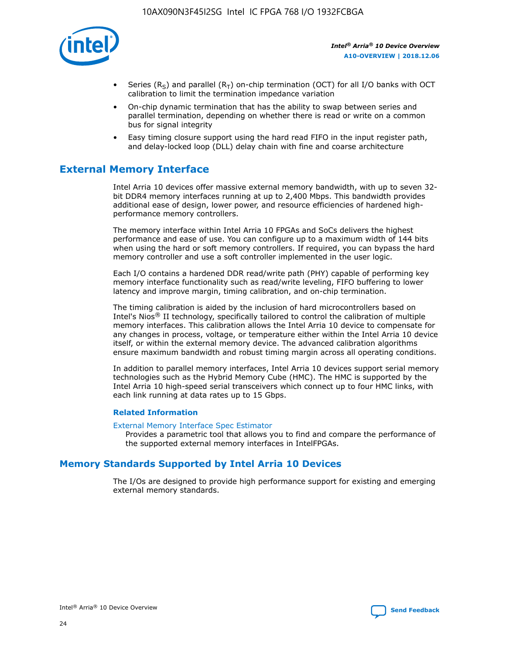

- Series (R<sub>S</sub>) and parallel (R<sub>T</sub>) on-chip termination (OCT) for all I/O banks with OCT calibration to limit the termination impedance variation
- On-chip dynamic termination that has the ability to swap between series and parallel termination, depending on whether there is read or write on a common bus for signal integrity
- Easy timing closure support using the hard read FIFO in the input register path, and delay-locked loop (DLL) delay chain with fine and coarse architecture

# **External Memory Interface**

Intel Arria 10 devices offer massive external memory bandwidth, with up to seven 32 bit DDR4 memory interfaces running at up to 2,400 Mbps. This bandwidth provides additional ease of design, lower power, and resource efficiencies of hardened highperformance memory controllers.

The memory interface within Intel Arria 10 FPGAs and SoCs delivers the highest performance and ease of use. You can configure up to a maximum width of 144 bits when using the hard or soft memory controllers. If required, you can bypass the hard memory controller and use a soft controller implemented in the user logic.

Each I/O contains a hardened DDR read/write path (PHY) capable of performing key memory interface functionality such as read/write leveling, FIFO buffering to lower latency and improve margin, timing calibration, and on-chip termination.

The timing calibration is aided by the inclusion of hard microcontrollers based on Intel's Nios® II technology, specifically tailored to control the calibration of multiple memory interfaces. This calibration allows the Intel Arria 10 device to compensate for any changes in process, voltage, or temperature either within the Intel Arria 10 device itself, or within the external memory device. The advanced calibration algorithms ensure maximum bandwidth and robust timing margin across all operating conditions.

In addition to parallel memory interfaces, Intel Arria 10 devices support serial memory technologies such as the Hybrid Memory Cube (HMC). The HMC is supported by the Intel Arria 10 high-speed serial transceivers which connect up to four HMC links, with each link running at data rates up to 15 Gbps.

## **Related Information**

#### [External Memory Interface Spec Estimator](http://www.altera.com/technology/memory/estimator/mem-emif-index.html)

Provides a parametric tool that allows you to find and compare the performance of the supported external memory interfaces in IntelFPGAs.

# **Memory Standards Supported by Intel Arria 10 Devices**

The I/Os are designed to provide high performance support for existing and emerging external memory standards.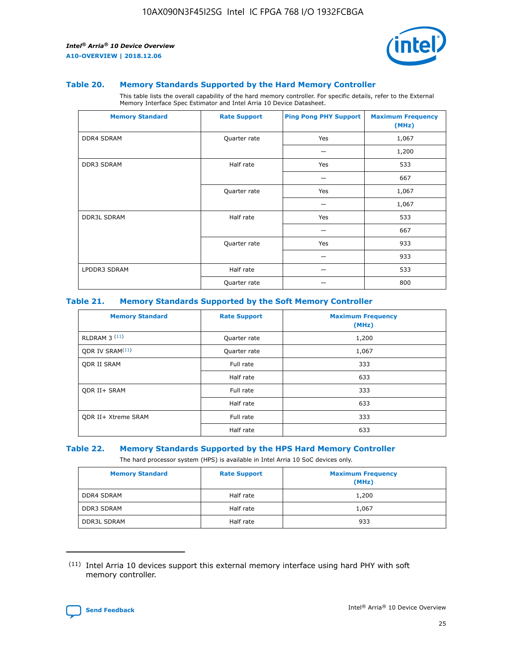

#### **Table 20. Memory Standards Supported by the Hard Memory Controller**

This table lists the overall capability of the hard memory controller. For specific details, refer to the External Memory Interface Spec Estimator and Intel Arria 10 Device Datasheet.

| <b>Memory Standard</b> | <b>Rate Support</b> | <b>Ping Pong PHY Support</b> | <b>Maximum Frequency</b><br>(MHz) |
|------------------------|---------------------|------------------------------|-----------------------------------|
| <b>DDR4 SDRAM</b>      | Quarter rate        | Yes                          | 1,067                             |
|                        |                     |                              | 1,200                             |
| DDR3 SDRAM             | Half rate           | Yes                          | 533                               |
|                        |                     |                              | 667                               |
|                        | Quarter rate        | Yes                          | 1,067                             |
|                        |                     |                              | 1,067                             |
| <b>DDR3L SDRAM</b>     | Half rate           | Yes                          | 533                               |
|                        |                     |                              | 667                               |
|                        | Quarter rate        | Yes                          | 933                               |
|                        |                     |                              | 933                               |
| LPDDR3 SDRAM           | Half rate           |                              | 533                               |
|                        | Quarter rate        |                              | 800                               |

## **Table 21. Memory Standards Supported by the Soft Memory Controller**

| <b>Memory Standard</b>      | <b>Rate Support</b> | <b>Maximum Frequency</b><br>(MHz) |
|-----------------------------|---------------------|-----------------------------------|
| <b>RLDRAM 3 (11)</b>        | Quarter rate        | 1,200                             |
| ODR IV SRAM <sup>(11)</sup> | Quarter rate        | 1,067                             |
| <b>ODR II SRAM</b>          | Full rate           | 333                               |
|                             | Half rate           | 633                               |
| <b>ODR II+ SRAM</b>         | Full rate           | 333                               |
|                             | Half rate           | 633                               |
| <b>ODR II+ Xtreme SRAM</b>  | Full rate           | 333                               |
|                             | Half rate           | 633                               |

#### **Table 22. Memory Standards Supported by the HPS Hard Memory Controller**

The hard processor system (HPS) is available in Intel Arria 10 SoC devices only.

| <b>Memory Standard</b> | <b>Rate Support</b> | <b>Maximum Frequency</b><br>(MHz) |
|------------------------|---------------------|-----------------------------------|
| <b>DDR4 SDRAM</b>      | Half rate           | 1,200                             |
| <b>DDR3 SDRAM</b>      | Half rate           | 1,067                             |
| <b>DDR3L SDRAM</b>     | Half rate           | 933                               |

<sup>(11)</sup> Intel Arria 10 devices support this external memory interface using hard PHY with soft memory controller.

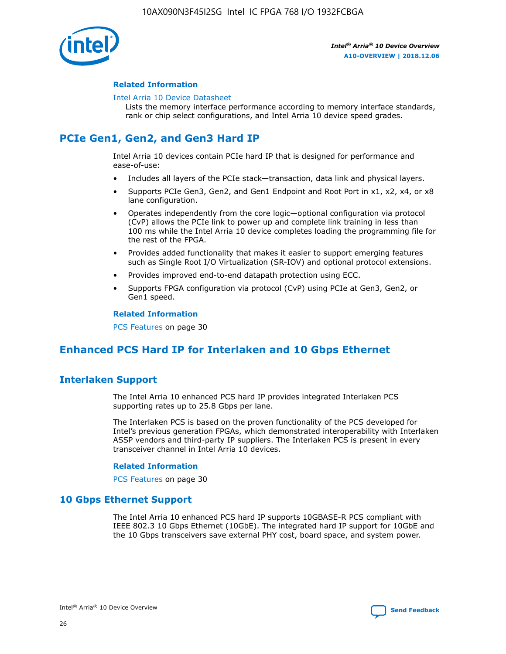

## **Related Information**

#### [Intel Arria 10 Device Datasheet](https://www.intel.com/content/www/us/en/programmable/documentation/mcn1413182292568.html#mcn1413182153340)

Lists the memory interface performance according to memory interface standards, rank or chip select configurations, and Intel Arria 10 device speed grades.

# **PCIe Gen1, Gen2, and Gen3 Hard IP**

Intel Arria 10 devices contain PCIe hard IP that is designed for performance and ease-of-use:

- Includes all layers of the PCIe stack—transaction, data link and physical layers.
- Supports PCIe Gen3, Gen2, and Gen1 Endpoint and Root Port in x1, x2, x4, or x8 lane configuration.
- Operates independently from the core logic—optional configuration via protocol (CvP) allows the PCIe link to power up and complete link training in less than 100 ms while the Intel Arria 10 device completes loading the programming file for the rest of the FPGA.
- Provides added functionality that makes it easier to support emerging features such as Single Root I/O Virtualization (SR-IOV) and optional protocol extensions.
- Provides improved end-to-end datapath protection using ECC.
- Supports FPGA configuration via protocol (CvP) using PCIe at Gen3, Gen2, or Gen1 speed.

#### **Related Information**

PCS Features on page 30

# **Enhanced PCS Hard IP for Interlaken and 10 Gbps Ethernet**

# **Interlaken Support**

The Intel Arria 10 enhanced PCS hard IP provides integrated Interlaken PCS supporting rates up to 25.8 Gbps per lane.

The Interlaken PCS is based on the proven functionality of the PCS developed for Intel's previous generation FPGAs, which demonstrated interoperability with Interlaken ASSP vendors and third-party IP suppliers. The Interlaken PCS is present in every transceiver channel in Intel Arria 10 devices.

## **Related Information**

PCS Features on page 30

# **10 Gbps Ethernet Support**

The Intel Arria 10 enhanced PCS hard IP supports 10GBASE-R PCS compliant with IEEE 802.3 10 Gbps Ethernet (10GbE). The integrated hard IP support for 10GbE and the 10 Gbps transceivers save external PHY cost, board space, and system power.

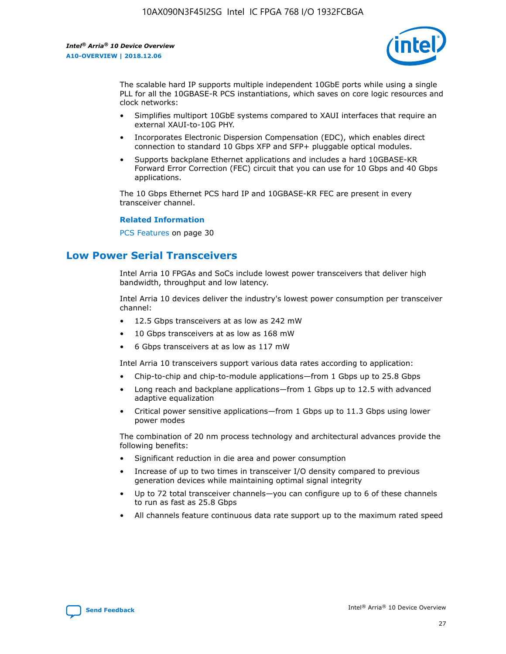

The scalable hard IP supports multiple independent 10GbE ports while using a single PLL for all the 10GBASE-R PCS instantiations, which saves on core logic resources and clock networks:

- Simplifies multiport 10GbE systems compared to XAUI interfaces that require an external XAUI-to-10G PHY.
- Incorporates Electronic Dispersion Compensation (EDC), which enables direct connection to standard 10 Gbps XFP and SFP+ pluggable optical modules.
- Supports backplane Ethernet applications and includes a hard 10GBASE-KR Forward Error Correction (FEC) circuit that you can use for 10 Gbps and 40 Gbps applications.

The 10 Gbps Ethernet PCS hard IP and 10GBASE-KR FEC are present in every transceiver channel.

#### **Related Information**

PCS Features on page 30

# **Low Power Serial Transceivers**

Intel Arria 10 FPGAs and SoCs include lowest power transceivers that deliver high bandwidth, throughput and low latency.

Intel Arria 10 devices deliver the industry's lowest power consumption per transceiver channel:

- 12.5 Gbps transceivers at as low as 242 mW
- 10 Gbps transceivers at as low as 168 mW
- 6 Gbps transceivers at as low as 117 mW

Intel Arria 10 transceivers support various data rates according to application:

- Chip-to-chip and chip-to-module applications—from 1 Gbps up to 25.8 Gbps
- Long reach and backplane applications—from 1 Gbps up to 12.5 with advanced adaptive equalization
- Critical power sensitive applications—from 1 Gbps up to 11.3 Gbps using lower power modes

The combination of 20 nm process technology and architectural advances provide the following benefits:

- Significant reduction in die area and power consumption
- Increase of up to two times in transceiver I/O density compared to previous generation devices while maintaining optimal signal integrity
- Up to 72 total transceiver channels—you can configure up to 6 of these channels to run as fast as 25.8 Gbps
- All channels feature continuous data rate support up to the maximum rated speed

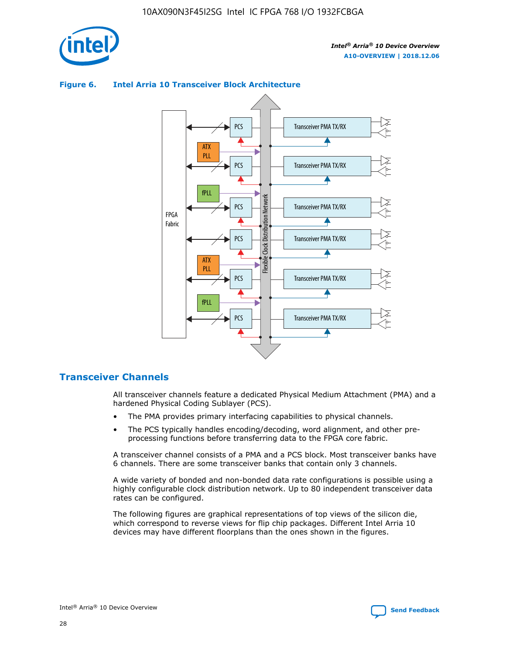



## **Figure 6. Intel Arria 10 Transceiver Block Architecture**

# **Transceiver Channels**

All transceiver channels feature a dedicated Physical Medium Attachment (PMA) and a hardened Physical Coding Sublayer (PCS).

- The PMA provides primary interfacing capabilities to physical channels.
- The PCS typically handles encoding/decoding, word alignment, and other preprocessing functions before transferring data to the FPGA core fabric.

A transceiver channel consists of a PMA and a PCS block. Most transceiver banks have 6 channels. There are some transceiver banks that contain only 3 channels.

A wide variety of bonded and non-bonded data rate configurations is possible using a highly configurable clock distribution network. Up to 80 independent transceiver data rates can be configured.

The following figures are graphical representations of top views of the silicon die, which correspond to reverse views for flip chip packages. Different Intel Arria 10 devices may have different floorplans than the ones shown in the figures.

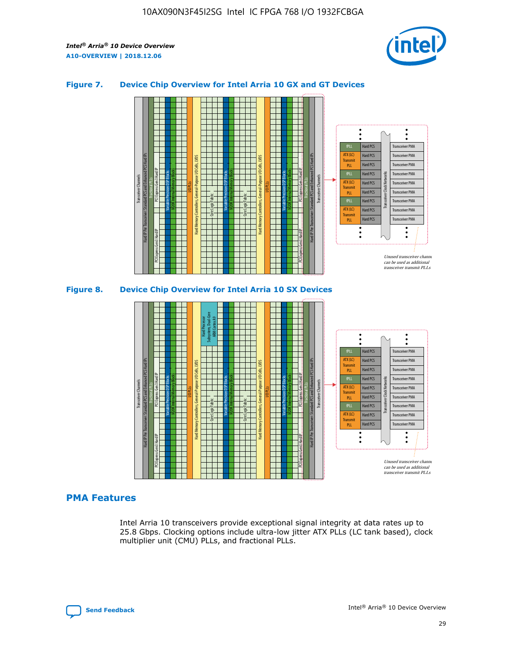

## **Figure 7. Device Chip Overview for Intel Arria 10 GX and GT Devices**



M20K Internal Memory Blocks Core Logic Fabric Transceiver Channels Hard IP Per Transceiver: Standard PCS and Enhanced PCS Hard IPs PCI Express Gen3 Hard IP Fractional PLLs M20K Internal Memory Blocks PCI Express Gen3 Hard IP Variable Precision DSP Blocks I/O PLLs Hard Memory Controllers, General-Purpose I/O Cells, LVDS Hard Processor Subsystem, Dual-Core ARM Cortex A9 M20K Internal Memory Blocks Variable Precision DSP Blocks M20K Internal Memory Blocks Core Logic Fabric I/O PLLs Hard Memory Controllers, General-Purpose I/O Cells, LVDS M20K Internal Memory Blocks Variable Precision DSP Blocks M20K Internal Memory Blocks Transceiver Channels Hard IP Per Transceiver: Standard PCS and Enhanced PCS Hard IPs PCI Express Gen3 Hard IP Fractional PLLs PCI Express Gen3 Hard IP  $\ddot{\cdot}$ Hard PCS Transceiver PMA fPLL ATX (LC) Hard PCS Transceiver PMA **Transmit** Hard PCS Transceiver PMA PLL fPLL Hard PCS Transceiver PMA Transceiver Clock Networks ATX (LC) Hard PCS Transceiver PMA Transmi Hard PCS Transceiver PMA PLL fPLL Hard PCS Transceiver PMA Transceiver PMA Hard PCS ATX (LC) **Transmit** Hard PCS Transceiver PMA PLL Unused transceiver chann can be used as additional transceiver transmit PLLs

# **PMA Features**

Intel Arria 10 transceivers provide exceptional signal integrity at data rates up to 25.8 Gbps. Clocking options include ultra-low jitter ATX PLLs (LC tank based), clock multiplier unit (CMU) PLLs, and fractional PLLs.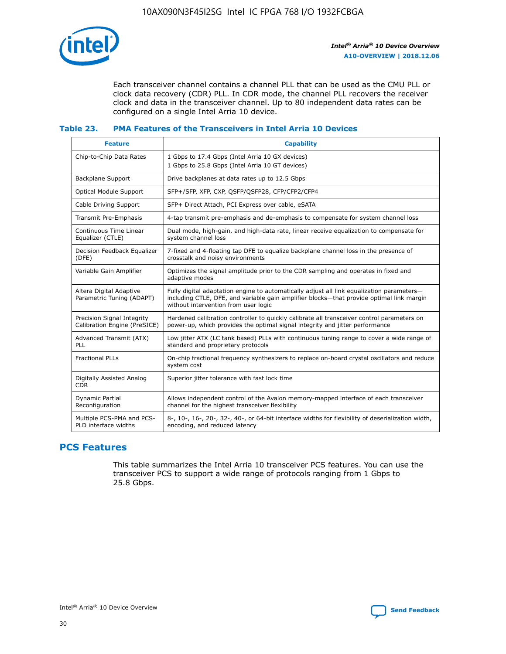

Each transceiver channel contains a channel PLL that can be used as the CMU PLL or clock data recovery (CDR) PLL. In CDR mode, the channel PLL recovers the receiver clock and data in the transceiver channel. Up to 80 independent data rates can be configured on a single Intel Arria 10 device.

## **Table 23. PMA Features of the Transceivers in Intel Arria 10 Devices**

| <b>Feature</b>                                             | <b>Capability</b>                                                                                                                                                                                                             |
|------------------------------------------------------------|-------------------------------------------------------------------------------------------------------------------------------------------------------------------------------------------------------------------------------|
| Chip-to-Chip Data Rates                                    | 1 Gbps to 17.4 Gbps (Intel Arria 10 GX devices)<br>1 Gbps to 25.8 Gbps (Intel Arria 10 GT devices)                                                                                                                            |
| <b>Backplane Support</b>                                   | Drive backplanes at data rates up to 12.5 Gbps                                                                                                                                                                                |
| <b>Optical Module Support</b>                              | SFP+/SFP, XFP, CXP, QSFP/QSFP28, CFP/CFP2/CFP4                                                                                                                                                                                |
| Cable Driving Support                                      | SFP+ Direct Attach, PCI Express over cable, eSATA                                                                                                                                                                             |
| Transmit Pre-Emphasis                                      | 4-tap transmit pre-emphasis and de-emphasis to compensate for system channel loss                                                                                                                                             |
| Continuous Time Linear<br>Equalizer (CTLE)                 | Dual mode, high-gain, and high-data rate, linear receive equalization to compensate for<br>system channel loss                                                                                                                |
| Decision Feedback Equalizer<br>(DFE)                       | 7-fixed and 4-floating tap DFE to equalize backplane channel loss in the presence of<br>crosstalk and noisy environments                                                                                                      |
| Variable Gain Amplifier                                    | Optimizes the signal amplitude prior to the CDR sampling and operates in fixed and<br>adaptive modes                                                                                                                          |
| Altera Digital Adaptive<br>Parametric Tuning (ADAPT)       | Fully digital adaptation engine to automatically adjust all link equalization parameters-<br>including CTLE, DFE, and variable gain amplifier blocks—that provide optimal link margin<br>without intervention from user logic |
| Precision Signal Integrity<br>Calibration Engine (PreSICE) | Hardened calibration controller to quickly calibrate all transceiver control parameters on<br>power-up, which provides the optimal signal integrity and jitter performance                                                    |
| Advanced Transmit (ATX)<br>PLL                             | Low jitter ATX (LC tank based) PLLs with continuous tuning range to cover a wide range of<br>standard and proprietary protocols                                                                                               |
| <b>Fractional PLLs</b>                                     | On-chip fractional frequency synthesizers to replace on-board crystal oscillators and reduce<br>system cost                                                                                                                   |
| Digitally Assisted Analog<br><b>CDR</b>                    | Superior jitter tolerance with fast lock time                                                                                                                                                                                 |
| Dynamic Partial<br>Reconfiguration                         | Allows independent control of the Avalon memory-mapped interface of each transceiver<br>channel for the highest transceiver flexibility                                                                                       |
| Multiple PCS-PMA and PCS-<br>PLD interface widths          | 8-, 10-, 16-, 20-, 32-, 40-, or 64-bit interface widths for flexibility of deserialization width,<br>encoding, and reduced latency                                                                                            |

# **PCS Features**

This table summarizes the Intel Arria 10 transceiver PCS features. You can use the transceiver PCS to support a wide range of protocols ranging from 1 Gbps to 25.8 Gbps.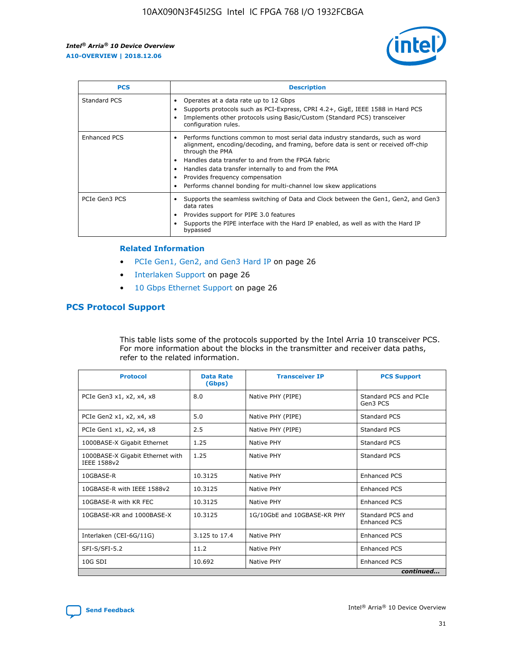

| <b>PCS</b>          | <b>Description</b>                                                                                                                                                                                                                                                                                                                                                                                             |
|---------------------|----------------------------------------------------------------------------------------------------------------------------------------------------------------------------------------------------------------------------------------------------------------------------------------------------------------------------------------------------------------------------------------------------------------|
| Standard PCS        | Operates at a data rate up to 12 Gbps<br>Supports protocols such as PCI-Express, CPRI 4.2+, GigE, IEEE 1588 in Hard PCS<br>Implements other protocols using Basic/Custom (Standard PCS) transceiver<br>configuration rules.                                                                                                                                                                                    |
| <b>Enhanced PCS</b> | Performs functions common to most serial data industry standards, such as word<br>alignment, encoding/decoding, and framing, before data is sent or received off-chip<br>through the PMA<br>• Handles data transfer to and from the FPGA fabric<br>Handles data transfer internally to and from the PMA<br>Provides frequency compensation<br>Performs channel bonding for multi-channel low skew applications |
| PCIe Gen3 PCS       | Supports the seamless switching of Data and Clock between the Gen1, Gen2, and Gen3<br>data rates<br>Provides support for PIPE 3.0 features<br>Supports the PIPE interface with the Hard IP enabled, as well as with the Hard IP<br>bypassed                                                                                                                                                                    |

#### **Related Information**

- PCIe Gen1, Gen2, and Gen3 Hard IP on page 26
- Interlaken Support on page 26
- 10 Gbps Ethernet Support on page 26

# **PCS Protocol Support**

This table lists some of the protocols supported by the Intel Arria 10 transceiver PCS. For more information about the blocks in the transmitter and receiver data paths, refer to the related information.

| <b>Protocol</b>                                 | <b>Data Rate</b><br>(Gbps) | <b>Transceiver IP</b>       | <b>PCS Support</b>                      |
|-------------------------------------------------|----------------------------|-----------------------------|-----------------------------------------|
| PCIe Gen3 x1, x2, x4, x8                        | 8.0                        | Native PHY (PIPE)           | Standard PCS and PCIe<br>Gen3 PCS       |
| PCIe Gen2 x1, x2, x4, x8                        | 5.0                        | Native PHY (PIPE)           | <b>Standard PCS</b>                     |
| PCIe Gen1 x1, x2, x4, x8                        | 2.5                        | Native PHY (PIPE)           | Standard PCS                            |
| 1000BASE-X Gigabit Ethernet                     | 1.25                       | Native PHY                  | <b>Standard PCS</b>                     |
| 1000BASE-X Gigabit Ethernet with<br>IEEE 1588v2 | 1.25                       | Native PHY                  | Standard PCS                            |
| 10GBASE-R                                       | 10.3125                    | Native PHY                  | <b>Enhanced PCS</b>                     |
| 10GBASE-R with IEEE 1588v2                      | 10.3125                    | Native PHY                  | <b>Enhanced PCS</b>                     |
| 10GBASE-R with KR FEC                           | 10.3125                    | Native PHY                  | <b>Enhanced PCS</b>                     |
| 10GBASE-KR and 1000BASE-X                       | 10.3125                    | 1G/10GbE and 10GBASE-KR PHY | Standard PCS and<br><b>Enhanced PCS</b> |
| Interlaken (CEI-6G/11G)                         | 3.125 to 17.4              | Native PHY                  | <b>Enhanced PCS</b>                     |
| SFI-S/SFI-5.2                                   | 11.2                       | Native PHY                  | <b>Enhanced PCS</b>                     |
| $10G$ SDI                                       | 10.692                     | Native PHY                  | <b>Enhanced PCS</b>                     |
|                                                 |                            |                             | continued                               |

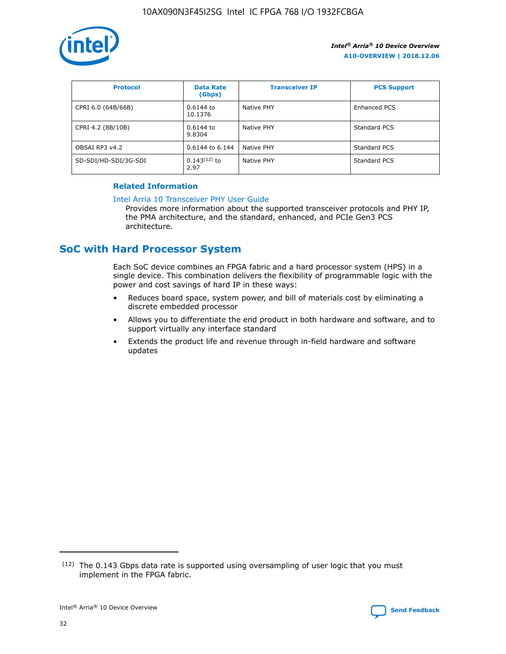

| <b>Protocol</b>      | <b>Data Rate</b><br>(Gbps) | <b>Transceiver IP</b> | <b>PCS Support</b> |
|----------------------|----------------------------|-----------------------|--------------------|
| CPRI 6.0 (64B/66B)   | 0.6144 to<br>10.1376       | Native PHY            | Enhanced PCS       |
| CPRI 4.2 (8B/10B)    | 0.6144 to<br>9.8304        | Native PHY            | Standard PCS       |
| OBSAI RP3 v4.2       | 0.6144 to 6.144            | Native PHY            | Standard PCS       |
| SD-SDI/HD-SDI/3G-SDI | $0.143(12)$ to<br>2.97     | Native PHY            | Standard PCS       |

## **Related Information**

#### [Intel Arria 10 Transceiver PHY User Guide](https://www.intel.com/content/www/us/en/programmable/documentation/nik1398707230472.html#nik1398707091164)

Provides more information about the supported transceiver protocols and PHY IP, the PMA architecture, and the standard, enhanced, and PCIe Gen3 PCS architecture.

# **SoC with Hard Processor System**

Each SoC device combines an FPGA fabric and a hard processor system (HPS) in a single device. This combination delivers the flexibility of programmable logic with the power and cost savings of hard IP in these ways:

- Reduces board space, system power, and bill of materials cost by eliminating a discrete embedded processor
- Allows you to differentiate the end product in both hardware and software, and to support virtually any interface standard
- Extends the product life and revenue through in-field hardware and software updates

 $(12)$  The 0.143 Gbps data rate is supported using oversampling of user logic that you must implement in the FPGA fabric.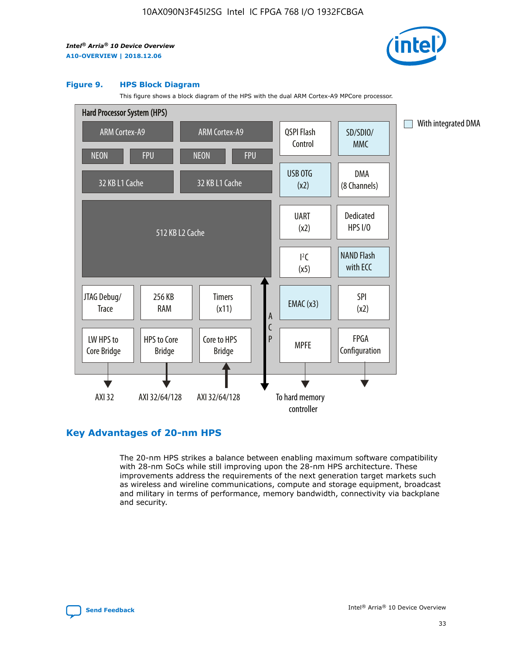

#### **Figure 9. HPS Block Diagram**

This figure shows a block diagram of the HPS with the dual ARM Cortex-A9 MPCore processor.



# **Key Advantages of 20-nm HPS**

The 20-nm HPS strikes a balance between enabling maximum software compatibility with 28-nm SoCs while still improving upon the 28-nm HPS architecture. These improvements address the requirements of the next generation target markets such as wireless and wireline communications, compute and storage equipment, broadcast and military in terms of performance, memory bandwidth, connectivity via backplane and security.

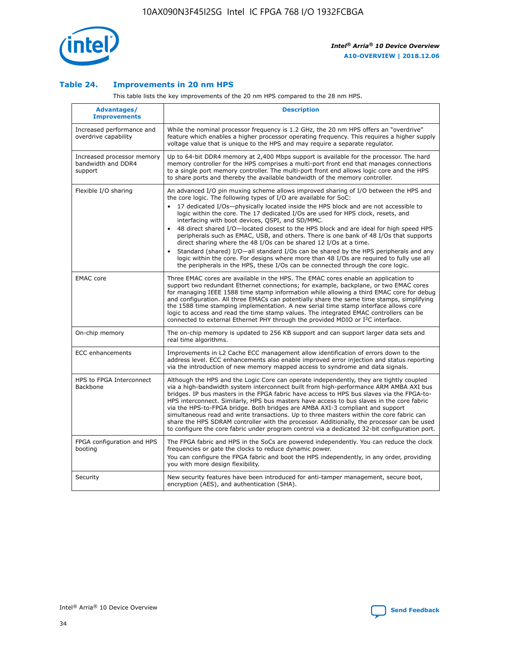

## **Table 24. Improvements in 20 nm HPS**

This table lists the key improvements of the 20 nm HPS compared to the 28 nm HPS.

| Advantages/<br><b>Improvements</b>                          | <b>Description</b>                                                                                                                                                                                                                                                                                                                                                                                                                                                                                                                                                                                                                                                                                                                                                                                                                                                                                                      |
|-------------------------------------------------------------|-------------------------------------------------------------------------------------------------------------------------------------------------------------------------------------------------------------------------------------------------------------------------------------------------------------------------------------------------------------------------------------------------------------------------------------------------------------------------------------------------------------------------------------------------------------------------------------------------------------------------------------------------------------------------------------------------------------------------------------------------------------------------------------------------------------------------------------------------------------------------------------------------------------------------|
| Increased performance and<br>overdrive capability           | While the nominal processor frequency is 1.2 GHz, the 20 nm HPS offers an "overdrive"<br>feature which enables a higher processor operating frequency. This requires a higher supply<br>voltage value that is unique to the HPS and may require a separate regulator.                                                                                                                                                                                                                                                                                                                                                                                                                                                                                                                                                                                                                                                   |
| Increased processor memory<br>bandwidth and DDR4<br>support | Up to 64-bit DDR4 memory at 2,400 Mbps support is available for the processor. The hard<br>memory controller for the HPS comprises a multi-port front end that manages connections<br>to a single port memory controller. The multi-port front end allows logic core and the HPS<br>to share ports and thereby the available bandwidth of the memory controller.                                                                                                                                                                                                                                                                                                                                                                                                                                                                                                                                                        |
| Flexible I/O sharing                                        | An advanced I/O pin muxing scheme allows improved sharing of I/O between the HPS and<br>the core logic. The following types of I/O are available for SoC:<br>17 dedicated I/Os-physically located inside the HPS block and are not accessible to<br>logic within the core. The 17 dedicated I/Os are used for HPS clock, resets, and<br>interfacing with boot devices, QSPI, and SD/MMC.<br>48 direct shared I/O-located closest to the HPS block and are ideal for high speed HPS<br>peripherals such as EMAC, USB, and others. There is one bank of 48 I/Os that supports<br>direct sharing where the 48 I/Os can be shared 12 I/Os at a time.<br>Standard (shared) I/O-all standard I/Os can be shared by the HPS peripherals and any<br>logic within the core. For designs where more than 48 I/Os are reguired to fully use all<br>the peripherals in the HPS, these I/Os can be connected through the core logic. |
| <b>EMAC</b> core                                            | Three EMAC cores are available in the HPS. The EMAC cores enable an application to<br>support two redundant Ethernet connections; for example, backplane, or two EMAC cores<br>for managing IEEE 1588 time stamp information while allowing a third EMAC core for debug<br>and configuration. All three EMACs can potentially share the same time stamps, simplifying<br>the 1588 time stamping implementation. A new serial time stamp interface allows core<br>logic to access and read the time stamp values. The integrated EMAC controllers can be<br>connected to external Ethernet PHY through the provided MDIO or I <sup>2</sup> C interface.                                                                                                                                                                                                                                                                  |
| On-chip memory                                              | The on-chip memory is updated to 256 KB support and can support larger data sets and<br>real time algorithms.                                                                                                                                                                                                                                                                                                                                                                                                                                                                                                                                                                                                                                                                                                                                                                                                           |
| <b>ECC</b> enhancements                                     | Improvements in L2 Cache ECC management allow identification of errors down to the<br>address level. ECC enhancements also enable improved error injection and status reporting<br>via the introduction of new memory mapped access to syndrome and data signals.                                                                                                                                                                                                                                                                                                                                                                                                                                                                                                                                                                                                                                                       |
| HPS to FPGA Interconnect<br>Backbone                        | Although the HPS and the Logic Core can operate independently, they are tightly coupled<br>via a high-bandwidth system interconnect built from high-performance ARM AMBA AXI bus<br>bridges. IP bus masters in the FPGA fabric have access to HPS bus slaves via the FPGA-to-<br>HPS interconnect. Similarly, HPS bus masters have access to bus slaves in the core fabric<br>via the HPS-to-FPGA bridge. Both bridges are AMBA AXI-3 compliant and support<br>simultaneous read and write transactions. Up to three masters within the core fabric can<br>share the HPS SDRAM controller with the processor. Additionally, the processor can be used<br>to configure the core fabric under program control via a dedicated 32-bit configuration port.                                                                                                                                                                  |
| FPGA configuration and HPS<br>booting                       | The FPGA fabric and HPS in the SoCs are powered independently. You can reduce the clock<br>frequencies or gate the clocks to reduce dynamic power.<br>You can configure the FPGA fabric and boot the HPS independently, in any order, providing<br>you with more design flexibility.                                                                                                                                                                                                                                                                                                                                                                                                                                                                                                                                                                                                                                    |
| Security                                                    | New security features have been introduced for anti-tamper management, secure boot,<br>encryption (AES), and authentication (SHA).                                                                                                                                                                                                                                                                                                                                                                                                                                                                                                                                                                                                                                                                                                                                                                                      |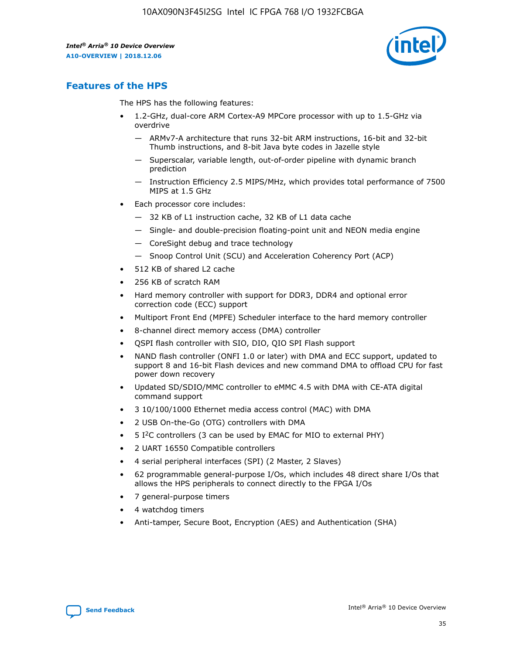

# **Features of the HPS**

The HPS has the following features:

- 1.2-GHz, dual-core ARM Cortex-A9 MPCore processor with up to 1.5-GHz via overdrive
	- ARMv7-A architecture that runs 32-bit ARM instructions, 16-bit and 32-bit Thumb instructions, and 8-bit Java byte codes in Jazelle style
	- Superscalar, variable length, out-of-order pipeline with dynamic branch prediction
	- Instruction Efficiency 2.5 MIPS/MHz, which provides total performance of 7500 MIPS at 1.5 GHz
- Each processor core includes:
	- 32 KB of L1 instruction cache, 32 KB of L1 data cache
	- Single- and double-precision floating-point unit and NEON media engine
	- CoreSight debug and trace technology
	- Snoop Control Unit (SCU) and Acceleration Coherency Port (ACP)
- 512 KB of shared L2 cache
- 256 KB of scratch RAM
- Hard memory controller with support for DDR3, DDR4 and optional error correction code (ECC) support
- Multiport Front End (MPFE) Scheduler interface to the hard memory controller
- 8-channel direct memory access (DMA) controller
- QSPI flash controller with SIO, DIO, QIO SPI Flash support
- NAND flash controller (ONFI 1.0 or later) with DMA and ECC support, updated to support 8 and 16-bit Flash devices and new command DMA to offload CPU for fast power down recovery
- Updated SD/SDIO/MMC controller to eMMC 4.5 with DMA with CE-ATA digital command support
- 3 10/100/1000 Ethernet media access control (MAC) with DMA
- 2 USB On-the-Go (OTG) controllers with DMA
- $\bullet$  5 I<sup>2</sup>C controllers (3 can be used by EMAC for MIO to external PHY)
- 2 UART 16550 Compatible controllers
- 4 serial peripheral interfaces (SPI) (2 Master, 2 Slaves)
- 62 programmable general-purpose I/Os, which includes 48 direct share I/Os that allows the HPS peripherals to connect directly to the FPGA I/Os
- 7 general-purpose timers
- 4 watchdog timers
- Anti-tamper, Secure Boot, Encryption (AES) and Authentication (SHA)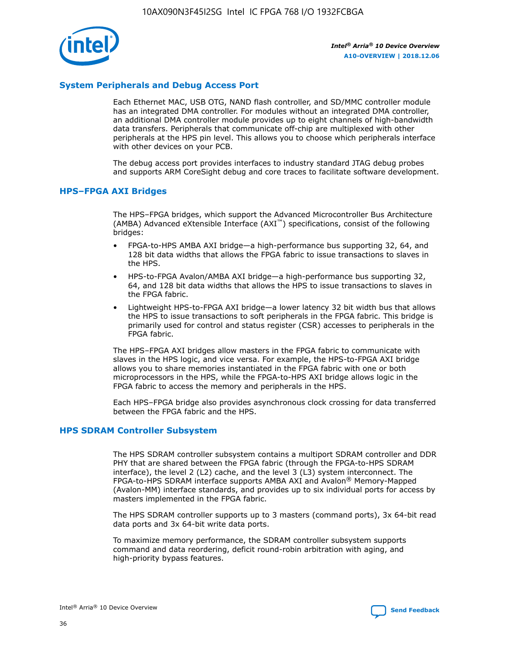

# **System Peripherals and Debug Access Port**

Each Ethernet MAC, USB OTG, NAND flash controller, and SD/MMC controller module has an integrated DMA controller. For modules without an integrated DMA controller, an additional DMA controller module provides up to eight channels of high-bandwidth data transfers. Peripherals that communicate off-chip are multiplexed with other peripherals at the HPS pin level. This allows you to choose which peripherals interface with other devices on your PCB.

The debug access port provides interfaces to industry standard JTAG debug probes and supports ARM CoreSight debug and core traces to facilitate software development.

## **HPS–FPGA AXI Bridges**

The HPS–FPGA bridges, which support the Advanced Microcontroller Bus Architecture (AMBA) Advanced eXtensible Interface (AXI™) specifications, consist of the following bridges:

- FPGA-to-HPS AMBA AXI bridge—a high-performance bus supporting 32, 64, and 128 bit data widths that allows the FPGA fabric to issue transactions to slaves in the HPS.
- HPS-to-FPGA Avalon/AMBA AXI bridge—a high-performance bus supporting 32, 64, and 128 bit data widths that allows the HPS to issue transactions to slaves in the FPGA fabric.
- Lightweight HPS-to-FPGA AXI bridge—a lower latency 32 bit width bus that allows the HPS to issue transactions to soft peripherals in the FPGA fabric. This bridge is primarily used for control and status register (CSR) accesses to peripherals in the FPGA fabric.

The HPS–FPGA AXI bridges allow masters in the FPGA fabric to communicate with slaves in the HPS logic, and vice versa. For example, the HPS-to-FPGA AXI bridge allows you to share memories instantiated in the FPGA fabric with one or both microprocessors in the HPS, while the FPGA-to-HPS AXI bridge allows logic in the FPGA fabric to access the memory and peripherals in the HPS.

Each HPS–FPGA bridge also provides asynchronous clock crossing for data transferred between the FPGA fabric and the HPS.

## **HPS SDRAM Controller Subsystem**

The HPS SDRAM controller subsystem contains a multiport SDRAM controller and DDR PHY that are shared between the FPGA fabric (through the FPGA-to-HPS SDRAM interface), the level 2 (L2) cache, and the level 3 (L3) system interconnect. The FPGA-to-HPS SDRAM interface supports AMBA AXI and Avalon® Memory-Mapped (Avalon-MM) interface standards, and provides up to six individual ports for access by masters implemented in the FPGA fabric.

The HPS SDRAM controller supports up to 3 masters (command ports), 3x 64-bit read data ports and 3x 64-bit write data ports.

To maximize memory performance, the SDRAM controller subsystem supports command and data reordering, deficit round-robin arbitration with aging, and high-priority bypass features.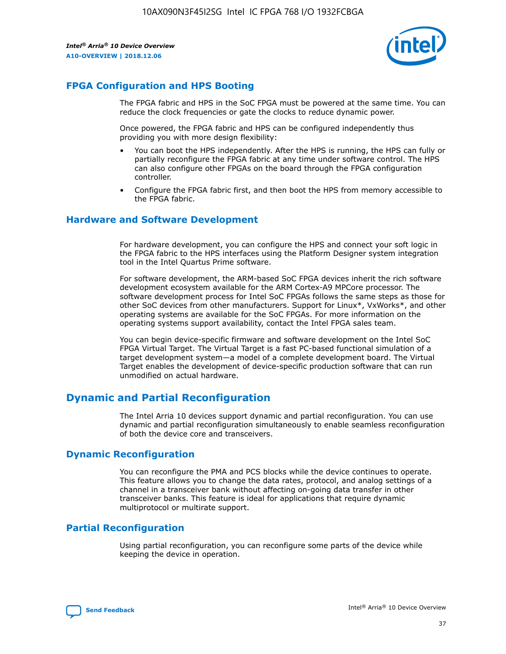

# **FPGA Configuration and HPS Booting**

The FPGA fabric and HPS in the SoC FPGA must be powered at the same time. You can reduce the clock frequencies or gate the clocks to reduce dynamic power.

Once powered, the FPGA fabric and HPS can be configured independently thus providing you with more design flexibility:

- You can boot the HPS independently. After the HPS is running, the HPS can fully or partially reconfigure the FPGA fabric at any time under software control. The HPS can also configure other FPGAs on the board through the FPGA configuration controller.
- Configure the FPGA fabric first, and then boot the HPS from memory accessible to the FPGA fabric.

## **Hardware and Software Development**

For hardware development, you can configure the HPS and connect your soft logic in the FPGA fabric to the HPS interfaces using the Platform Designer system integration tool in the Intel Quartus Prime software.

For software development, the ARM-based SoC FPGA devices inherit the rich software development ecosystem available for the ARM Cortex-A9 MPCore processor. The software development process for Intel SoC FPGAs follows the same steps as those for other SoC devices from other manufacturers. Support for Linux\*, VxWorks\*, and other operating systems are available for the SoC FPGAs. For more information on the operating systems support availability, contact the Intel FPGA sales team.

You can begin device-specific firmware and software development on the Intel SoC FPGA Virtual Target. The Virtual Target is a fast PC-based functional simulation of a target development system—a model of a complete development board. The Virtual Target enables the development of device-specific production software that can run unmodified on actual hardware.

# **Dynamic and Partial Reconfiguration**

The Intel Arria 10 devices support dynamic and partial reconfiguration. You can use dynamic and partial reconfiguration simultaneously to enable seamless reconfiguration of both the device core and transceivers.

# **Dynamic Reconfiguration**

You can reconfigure the PMA and PCS blocks while the device continues to operate. This feature allows you to change the data rates, protocol, and analog settings of a channel in a transceiver bank without affecting on-going data transfer in other transceiver banks. This feature is ideal for applications that require dynamic multiprotocol or multirate support.

# **Partial Reconfiguration**

Using partial reconfiguration, you can reconfigure some parts of the device while keeping the device in operation.

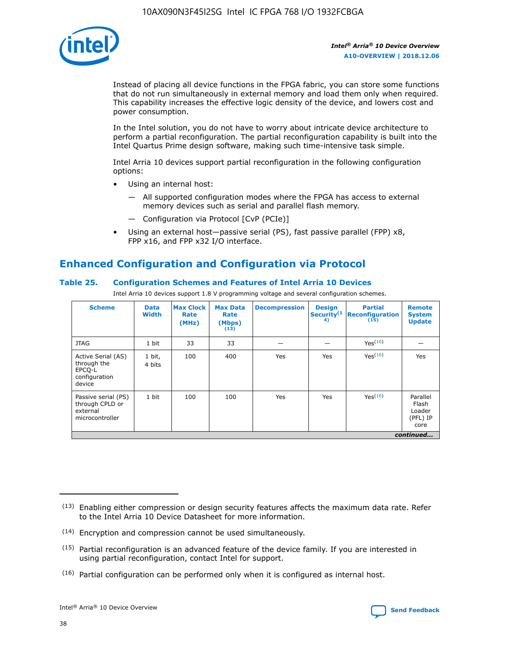

Instead of placing all device functions in the FPGA fabric, you can store some functions that do not run simultaneously in external memory and load them only when required. This capability increases the effective logic density of the device, and lowers cost and power consumption.

In the Intel solution, you do not have to worry about intricate device architecture to perform a partial reconfiguration. The partial reconfiguration capability is built into the Intel Quartus Prime design software, making such time-intensive task simple.

Intel Arria 10 devices support partial reconfiguration in the following configuration options:

- Using an internal host:
	- All supported configuration modes where the FPGA has access to external memory devices such as serial and parallel flash memory.
	- Configuration via Protocol [CvP (PCIe)]
- Using an external host—passive serial (PS), fast passive parallel (FPP) x8, FPP x16, and FPP x32 I/O interface.

# **Enhanced Configuration and Configuration via Protocol**

## **Table 25. Configuration Schemes and Features of Intel Arria 10 Devices**

Intel Arria 10 devices support 1.8 V programming voltage and several configuration schemes.

| <b>Scheme</b>                                                          | <b>Data</b><br><b>Width</b> | <b>Max Clock</b><br>Rate<br>(MHz) | <b>Max Data</b><br>Rate<br>(Mbps)<br>(13) | <b>Decompression</b> | <b>Design</b><br>Security <sup>(1</sup><br>4) | <b>Partial</b><br>Reconfiguration<br>(15) | <b>Remote</b><br><b>System</b><br><b>Update</b> |
|------------------------------------------------------------------------|-----------------------------|-----------------------------------|-------------------------------------------|----------------------|-----------------------------------------------|-------------------------------------------|-------------------------------------------------|
| <b>JTAG</b>                                                            | 1 bit                       | 33                                | 33                                        |                      |                                               | Yes(16)                                   |                                                 |
| Active Serial (AS)<br>through the<br>EPCO-L<br>configuration<br>device | 1 bit,<br>4 bits            | 100                               | 400                                       | Yes                  | Yes                                           | Yes(16)                                   | Yes                                             |
| Passive serial (PS)<br>through CPLD or<br>external<br>microcontroller  | 1 bit                       | 100                               | 100                                       | Yes                  | Yes                                           | Yes <sup>(16)</sup>                       | Parallel<br>Flash<br>Loader<br>(PFL) IP<br>core |
|                                                                        |                             |                                   |                                           |                      |                                               |                                           | continued                                       |

<sup>(13)</sup> Enabling either compression or design security features affects the maximum data rate. Refer to the Intel Arria 10 Device Datasheet for more information.

<sup>(14)</sup> Encryption and compression cannot be used simultaneously.

 $(15)$  Partial reconfiguration is an advanced feature of the device family. If you are interested in using partial reconfiguration, contact Intel for support.

 $(16)$  Partial configuration can be performed only when it is configured as internal host.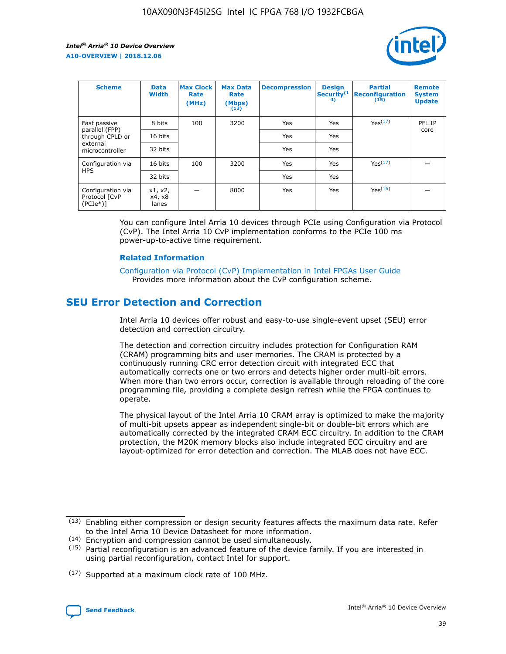

| <b>Scheme</b>                                    | <b>Data</b><br><b>Width</b> | <b>Max Clock</b><br>Rate<br>(MHz) | <b>Max Data</b><br>Rate<br>(Mbps)<br>(13) | <b>Decompression</b> | <b>Design</b><br>Security <sup>(1</sup><br>4) | <b>Partial</b><br><b>Reconfiguration</b><br>(15) | <b>Remote</b><br><b>System</b><br><b>Update</b> |
|--------------------------------------------------|-----------------------------|-----------------------------------|-------------------------------------------|----------------------|-----------------------------------------------|--------------------------------------------------|-------------------------------------------------|
| Fast passive                                     | 8 bits                      | 100                               | 3200                                      | Yes                  | Yes                                           | Yes(17)                                          | PFL IP                                          |
| parallel (FPP)<br>through CPLD or                | 16 bits                     |                                   |                                           | Yes                  | Yes                                           |                                                  | core                                            |
| external<br>microcontroller                      | 32 bits                     |                                   |                                           | Yes                  | Yes                                           |                                                  |                                                 |
| Configuration via                                | 16 bits                     | 100                               | 3200                                      | Yes                  | Yes                                           | Yes <sup>(17)</sup>                              |                                                 |
| <b>HPS</b>                                       | 32 bits                     |                                   |                                           | Yes                  | Yes                                           |                                                  |                                                 |
| Configuration via<br>Protocol [CvP<br>$(PCIe^*)$ | x1, x2,<br>x4, x8<br>lanes  |                                   | 8000                                      | Yes                  | Yes                                           | Yes(16)                                          |                                                 |

You can configure Intel Arria 10 devices through PCIe using Configuration via Protocol (CvP). The Intel Arria 10 CvP implementation conforms to the PCIe 100 ms power-up-to-active time requirement.

## **Related Information**

[Configuration via Protocol \(CvP\) Implementation in Intel FPGAs User Guide](https://www.intel.com/content/www/us/en/programmable/documentation/dsu1441819344145.html#dsu1442269728522) Provides more information about the CvP configuration scheme.

# **SEU Error Detection and Correction**

Intel Arria 10 devices offer robust and easy-to-use single-event upset (SEU) error detection and correction circuitry.

The detection and correction circuitry includes protection for Configuration RAM (CRAM) programming bits and user memories. The CRAM is protected by a continuously running CRC error detection circuit with integrated ECC that automatically corrects one or two errors and detects higher order multi-bit errors. When more than two errors occur, correction is available through reloading of the core programming file, providing a complete design refresh while the FPGA continues to operate.

The physical layout of the Intel Arria 10 CRAM array is optimized to make the majority of multi-bit upsets appear as independent single-bit or double-bit errors which are automatically corrected by the integrated CRAM ECC circuitry. In addition to the CRAM protection, the M20K memory blocks also include integrated ECC circuitry and are layout-optimized for error detection and correction. The MLAB does not have ECC.

(14) Encryption and compression cannot be used simultaneously.

<sup>(17)</sup> Supported at a maximum clock rate of 100 MHz.



 $(13)$  Enabling either compression or design security features affects the maximum data rate. Refer to the Intel Arria 10 Device Datasheet for more information.

 $(15)$  Partial reconfiguration is an advanced feature of the device family. If you are interested in using partial reconfiguration, contact Intel for support.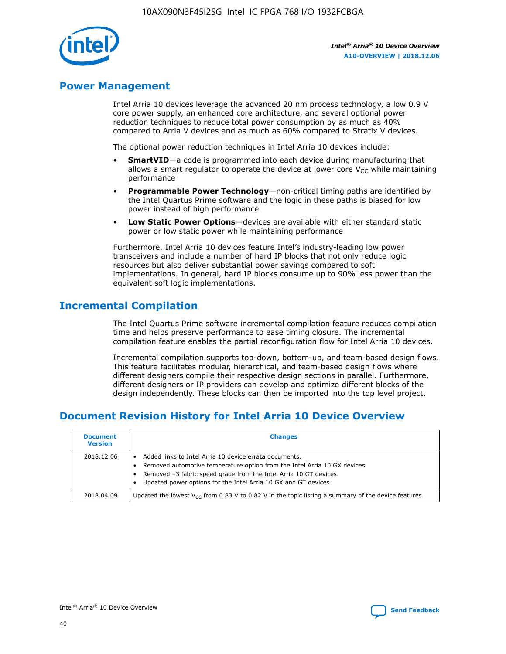

# **Power Management**

Intel Arria 10 devices leverage the advanced 20 nm process technology, a low 0.9 V core power supply, an enhanced core architecture, and several optional power reduction techniques to reduce total power consumption by as much as 40% compared to Arria V devices and as much as 60% compared to Stratix V devices.

The optional power reduction techniques in Intel Arria 10 devices include:

- **SmartVID**—a code is programmed into each device during manufacturing that allows a smart regulator to operate the device at lower core  $V_{CC}$  while maintaining performance
- **Programmable Power Technology**—non-critical timing paths are identified by the Intel Quartus Prime software and the logic in these paths is biased for low power instead of high performance
- **Low Static Power Options**—devices are available with either standard static power or low static power while maintaining performance

Furthermore, Intel Arria 10 devices feature Intel's industry-leading low power transceivers and include a number of hard IP blocks that not only reduce logic resources but also deliver substantial power savings compared to soft implementations. In general, hard IP blocks consume up to 90% less power than the equivalent soft logic implementations.

# **Incremental Compilation**

The Intel Quartus Prime software incremental compilation feature reduces compilation time and helps preserve performance to ease timing closure. The incremental compilation feature enables the partial reconfiguration flow for Intel Arria 10 devices.

Incremental compilation supports top-down, bottom-up, and team-based design flows. This feature facilitates modular, hierarchical, and team-based design flows where different designers compile their respective design sections in parallel. Furthermore, different designers or IP providers can develop and optimize different blocks of the design independently. These blocks can then be imported into the top level project.

# **Document Revision History for Intel Arria 10 Device Overview**

| <b>Document</b><br><b>Version</b> | <b>Changes</b>                                                                                                                                                                                                                                                              |
|-----------------------------------|-----------------------------------------------------------------------------------------------------------------------------------------------------------------------------------------------------------------------------------------------------------------------------|
| 2018.12.06                        | Added links to Intel Arria 10 device errata documents.<br>Removed automotive temperature option from the Intel Arria 10 GX devices.<br>Removed -3 fabric speed grade from the Intel Arria 10 GT devices.<br>Updated power options for the Intel Arria 10 GX and GT devices. |
| 2018.04.09                        | Updated the lowest $V_{CC}$ from 0.83 V to 0.82 V in the topic listing a summary of the device features.                                                                                                                                                                    |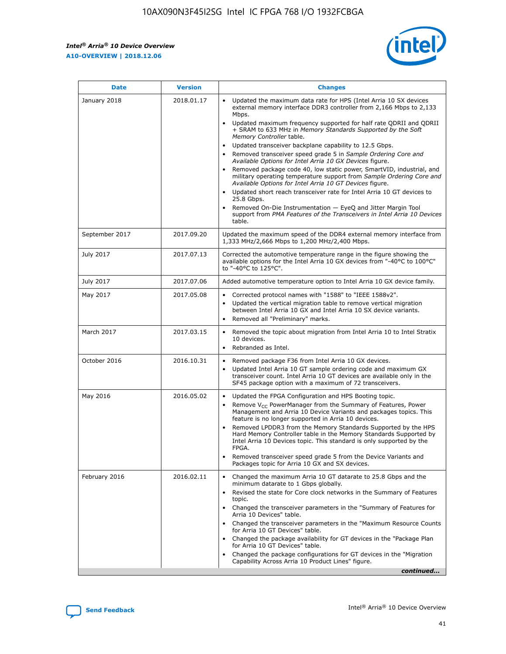*Intel® Arria® 10 Device Overview* **A10-OVERVIEW | 2018.12.06**



| <b>Date</b>    | <b>Version</b> | <b>Changes</b>                                                                                                                                                                                                                                                                                                                                                                                                                                                                                                                                                                                                                                                                                                                                                                                                                                                                                                                                                            |
|----------------|----------------|---------------------------------------------------------------------------------------------------------------------------------------------------------------------------------------------------------------------------------------------------------------------------------------------------------------------------------------------------------------------------------------------------------------------------------------------------------------------------------------------------------------------------------------------------------------------------------------------------------------------------------------------------------------------------------------------------------------------------------------------------------------------------------------------------------------------------------------------------------------------------------------------------------------------------------------------------------------------------|
| January 2018   | 2018.01.17     | Updated the maximum data rate for HPS (Intel Arria 10 SX devices<br>external memory interface DDR3 controller from 2,166 Mbps to 2,133<br>Mbps.<br>Updated maximum frequency supported for half rate QDRII and QDRII<br>+ SRAM to 633 MHz in Memory Standards Supported by the Soft<br>Memory Controller table.<br>Updated transceiver backplane capability to 12.5 Gbps.<br>$\bullet$<br>Removed transceiver speed grade 5 in Sample Ordering Core and<br>Available Options for Intel Arria 10 GX Devices figure.<br>Removed package code 40, low static power, SmartVID, industrial, and<br>military operating temperature support from Sample Ordering Core and<br>Available Options for Intel Arria 10 GT Devices figure.<br>Updated short reach transceiver rate for Intel Arria 10 GT devices to<br>25.8 Gbps.<br>Removed On-Die Instrumentation - EyeQ and Jitter Margin Tool<br>support from PMA Features of the Transceivers in Intel Arria 10 Devices<br>table. |
| September 2017 | 2017.09.20     | Updated the maximum speed of the DDR4 external memory interface from<br>1,333 MHz/2,666 Mbps to 1,200 MHz/2,400 Mbps.                                                                                                                                                                                                                                                                                                                                                                                                                                                                                                                                                                                                                                                                                                                                                                                                                                                     |
| July 2017      | 2017.07.13     | Corrected the automotive temperature range in the figure showing the<br>available options for the Intel Arria 10 GX devices from "-40°C to 100°C"<br>to "-40°C to 125°C".                                                                                                                                                                                                                                                                                                                                                                                                                                                                                                                                                                                                                                                                                                                                                                                                 |
| July 2017      | 2017.07.06     | Added automotive temperature option to Intel Arria 10 GX device family.                                                                                                                                                                                                                                                                                                                                                                                                                                                                                                                                                                                                                                                                                                                                                                                                                                                                                                   |
| May 2017       | 2017.05.08     | Corrected protocol names with "1588" to "IEEE 1588v2".<br>$\bullet$<br>Updated the vertical migration table to remove vertical migration<br>$\bullet$<br>between Intel Arria 10 GX and Intel Arria 10 SX device variants.<br>Removed all "Preliminary" marks.<br>$\bullet$                                                                                                                                                                                                                                                                                                                                                                                                                                                                                                                                                                                                                                                                                                |
| March 2017     | 2017.03.15     | Removed the topic about migration from Intel Arria 10 to Intel Stratix<br>10 devices.<br>Rebranded as Intel.<br>$\bullet$                                                                                                                                                                                                                                                                                                                                                                                                                                                                                                                                                                                                                                                                                                                                                                                                                                                 |
| October 2016   | 2016.10.31     | Removed package F36 from Intel Arria 10 GX devices.<br>Updated Intel Arria 10 GT sample ordering code and maximum GX<br>$\bullet$<br>transceiver count. Intel Arria 10 GT devices are available only in the<br>SF45 package option with a maximum of 72 transceivers.                                                                                                                                                                                                                                                                                                                                                                                                                                                                                                                                                                                                                                                                                                     |
| May 2016       | 2016.05.02     | Updated the FPGA Configuration and HPS Booting topic.<br>$\bullet$<br>Remove V <sub>CC</sub> PowerManager from the Summary of Features, Power<br>Management and Arria 10 Device Variants and packages topics. This<br>feature is no longer supported in Arria 10 devices.<br>Removed LPDDR3 from the Memory Standards Supported by the HPS<br>Hard Memory Controller table in the Memory Standards Supported by<br>Intel Arria 10 Devices topic. This standard is only supported by the<br>FPGA.<br>Removed transceiver speed grade 5 from the Device Variants and<br>Packages topic for Arria 10 GX and SX devices.                                                                                                                                                                                                                                                                                                                                                      |
| February 2016  | 2016.02.11     | Changed the maximum Arria 10 GT datarate to 25.8 Gbps and the<br>minimum datarate to 1 Gbps globally.<br>Revised the state for Core clock networks in the Summary of Features<br>$\bullet$<br>topic.<br>Changed the transceiver parameters in the "Summary of Features for<br>$\bullet$<br>Arria 10 Devices" table.<br>• Changed the transceiver parameters in the "Maximum Resource Counts<br>for Arria 10 GT Devices" table.<br>Changed the package availability for GT devices in the "Package Plan<br>for Arria 10 GT Devices" table.<br>Changed the package configurations for GT devices in the "Migration"<br>Capability Across Arria 10 Product Lines" figure.<br>continued                                                                                                                                                                                                                                                                                       |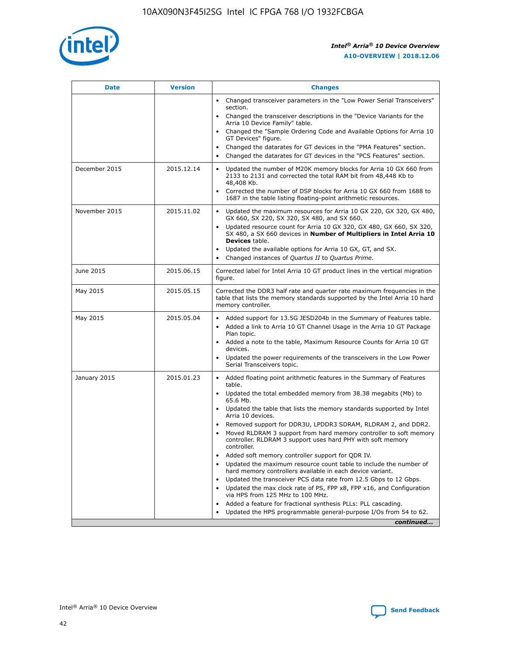

| <b>Date</b>   | <b>Version</b> | <b>Changes</b>                                                                                                                                                               |
|---------------|----------------|------------------------------------------------------------------------------------------------------------------------------------------------------------------------------|
|               |                | • Changed transceiver parameters in the "Low Power Serial Transceivers"<br>section.                                                                                          |
|               |                | • Changed the transceiver descriptions in the "Device Variants for the<br>Arria 10 Device Family" table.                                                                     |
|               |                | Changed the "Sample Ordering Code and Available Options for Arria 10<br>$\bullet$<br>GT Devices" figure.                                                                     |
|               |                | Changed the datarates for GT devices in the "PMA Features" section.                                                                                                          |
|               |                | Changed the datarates for GT devices in the "PCS Features" section.<br>$\bullet$                                                                                             |
| December 2015 | 2015.12.14     | Updated the number of M20K memory blocks for Arria 10 GX 660 from<br>2133 to 2131 and corrected the total RAM bit from 48,448 Kb to<br>48,408 Kb.                            |
|               |                | Corrected the number of DSP blocks for Arria 10 GX 660 from 1688 to<br>1687 in the table listing floating-point arithmetic resources.                                        |
| November 2015 | 2015.11.02     | Updated the maximum resources for Arria 10 GX 220, GX 320, GX 480,<br>$\bullet$<br>GX 660, SX 220, SX 320, SX 480, and SX 660.                                               |
|               |                | • Updated resource count for Arria 10 GX 320, GX 480, GX 660, SX 320,<br>SX 480, a SX 660 devices in Number of Multipliers in Intel Arria 10<br><b>Devices</b> table.        |
|               |                | Updated the available options for Arria 10 GX, GT, and SX.                                                                                                                   |
|               |                | Changed instances of Quartus II to Quartus Prime.<br>$\bullet$                                                                                                               |
| June 2015     | 2015.06.15     | Corrected label for Intel Arria 10 GT product lines in the vertical migration<br>figure.                                                                                     |
| May 2015      | 2015.05.15     | Corrected the DDR3 half rate and quarter rate maximum frequencies in the<br>table that lists the memory standards supported by the Intel Arria 10 hard<br>memory controller. |
| May 2015      | 2015.05.04     | • Added support for 13.5G JESD204b in the Summary of Features table.<br>• Added a link to Arria 10 GT Channel Usage in the Arria 10 GT Package<br>Plan topic.                |
|               |                | • Added a note to the table, Maximum Resource Counts for Arria 10 GT<br>devices.                                                                                             |
|               |                | • Updated the power requirements of the transceivers in the Low Power<br>Serial Transceivers topic.                                                                          |
| January 2015  | 2015.01.23     | • Added floating point arithmetic features in the Summary of Features<br>table.                                                                                              |
|               |                | • Updated the total embedded memory from 38.38 megabits (Mb) to<br>65.6 Mb.                                                                                                  |
|               |                | • Updated the table that lists the memory standards supported by Intel<br>Arria 10 devices.                                                                                  |
|               |                | Removed support for DDR3U, LPDDR3 SDRAM, RLDRAM 2, and DDR2.                                                                                                                 |
|               |                | Moved RLDRAM 3 support from hard memory controller to soft memory<br>controller. RLDRAM 3 support uses hard PHY with soft memory<br>controller.                              |
|               |                | Added soft memory controller support for QDR IV.<br>٠                                                                                                                        |
|               |                | Updated the maximum resource count table to include the number of<br>hard memory controllers available in each device variant.                                               |
|               |                | Updated the transceiver PCS data rate from 12.5 Gbps to 12 Gbps.<br>$\bullet$                                                                                                |
|               |                | Updated the max clock rate of PS, FPP x8, FPP x16, and Configuration<br>via HPS from 125 MHz to 100 MHz.                                                                     |
|               |                | Added a feature for fractional synthesis PLLs: PLL cascading.                                                                                                                |
|               |                | Updated the HPS programmable general-purpose I/Os from 54 to 62.<br>$\bullet$<br>continued                                                                                   |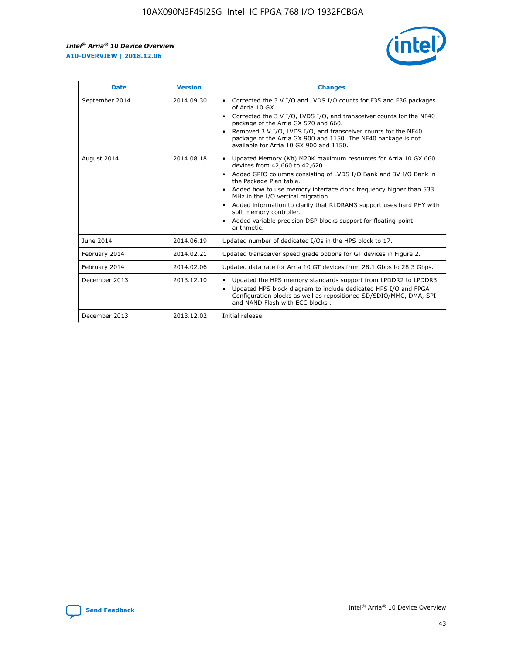r



| <b>Date</b>    | <b>Version</b> | <b>Changes</b>                                                                                                                                                                                                                                                                                                                                                                                                                                                                                                                                      |
|----------------|----------------|-----------------------------------------------------------------------------------------------------------------------------------------------------------------------------------------------------------------------------------------------------------------------------------------------------------------------------------------------------------------------------------------------------------------------------------------------------------------------------------------------------------------------------------------------------|
| September 2014 | 2014.09.30     | Corrected the 3 V I/O and LVDS I/O counts for F35 and F36 packages<br>$\bullet$<br>of Arria 10 GX.<br>Corrected the 3 V I/O, LVDS I/O, and transceiver counts for the NF40<br>$\bullet$<br>package of the Arria GX 570 and 660.<br>Removed 3 V I/O, LVDS I/O, and transceiver counts for the NF40<br>package of the Arria GX 900 and 1150. The NF40 package is not<br>available for Arria 10 GX 900 and 1150.                                                                                                                                       |
| August 2014    | 2014.08.18     | Updated Memory (Kb) M20K maximum resources for Arria 10 GX 660<br>devices from 42,660 to 42,620.<br>Added GPIO columns consisting of LVDS I/O Bank and 3V I/O Bank in<br>$\bullet$<br>the Package Plan table.<br>Added how to use memory interface clock frequency higher than 533<br>$\bullet$<br>MHz in the I/O vertical migration.<br>Added information to clarify that RLDRAM3 support uses hard PHY with<br>$\bullet$<br>soft memory controller.<br>Added variable precision DSP blocks support for floating-point<br>$\bullet$<br>arithmetic. |
| June 2014      | 2014.06.19     | Updated number of dedicated I/Os in the HPS block to 17.                                                                                                                                                                                                                                                                                                                                                                                                                                                                                            |
| February 2014  | 2014.02.21     | Updated transceiver speed grade options for GT devices in Figure 2.                                                                                                                                                                                                                                                                                                                                                                                                                                                                                 |
| February 2014  | 2014.02.06     | Updated data rate for Arria 10 GT devices from 28.1 Gbps to 28.3 Gbps.                                                                                                                                                                                                                                                                                                                                                                                                                                                                              |
| December 2013  | 2013.12.10     | Updated the HPS memory standards support from LPDDR2 to LPDDR3.<br>Updated HPS block diagram to include dedicated HPS I/O and FPGA<br>$\bullet$<br>Configuration blocks as well as repositioned SD/SDIO/MMC, DMA, SPI<br>and NAND Flash with ECC blocks.                                                                                                                                                                                                                                                                                            |
| December 2013  | 2013.12.02     | Initial release.                                                                                                                                                                                                                                                                                                                                                                                                                                                                                                                                    |